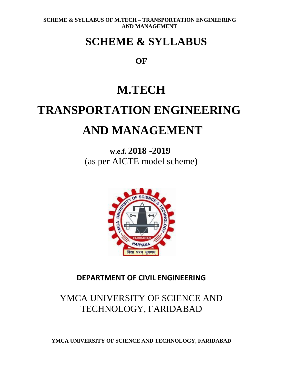### **SCHEME & SYLLABUS**

**OF**

## **M.TECH**

# **TRANSPORTATION ENGINEERING AND MANAGEMENT**

**w.e.f. 2018 -2019** (as per AICTE model scheme)



### **DEPARTMENT OF CIVIL ENGINEERING**

### YMCA UNIVERSITY OF SCIENCE AND TECHNOLOGY, FARIDABAD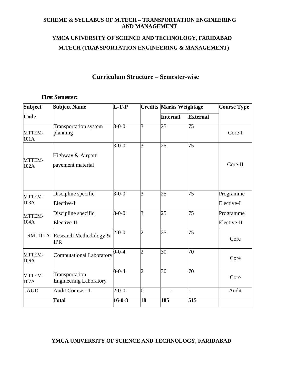### **YMCA UNIVERSITY OF SCIENCE AND TECHNOLOGY, FARIDABAD M.TECH (TRANSPORTATION ENGINEERING & MANAGEMENT)**

#### **Curriculum Structure – Semester-wise**

#### **First Semester:**

| <b>Subject</b> | <b>Subject Name</b>                             | $L-T-P$      |                | <b>Credits Marks Weightage</b> |                 | <b>Course Type</b>       |
|----------------|-------------------------------------------------|--------------|----------------|--------------------------------|-----------------|--------------------------|
| Code           |                                                 |              |                | <b>Internal</b>                | <b>External</b> |                          |
| MTTEM-<br>101A | <b>Transportation system</b><br>planning        | $3 - 0 - 0$  | 3              | 25                             | 75              | Core-I                   |
| MTTEM-<br>102A | Highway & Airport<br>pavement material          | $3 - 0 - 0$  | 3              | 25                             | 75              | Core-II                  |
| MTTEM-<br>103A | Discipline specific<br>Elective-I               | $3 - 0 - 0$  | 3              | 25                             | 75              | Programme<br>Elective-I  |
| MTTEM-<br>104A | Discipline specific<br>Elective-II              | $3 - 0 - 0$  | 3              | 25                             | 75              | Programme<br>Elective-II |
|                | RMI-101A Research Methodology &<br><b>IPR</b>   | $2 - 0 - 0$  | $\overline{2}$ | 25                             | 75              | Core                     |
| MTTEM-<br>106A | <b>Computational Laboratory</b>                 | $0 - 0 - 4$  | $\overline{2}$ | 30                             | 70              | Core                     |
| MTTEM-<br>107A | Transportation<br><b>Engineering Laboratory</b> | $0 - 0 - 4$  | $\overline{2}$ | 30                             | 70              | Core                     |
| <b>AUD</b>     | Audit Course - 1                                | $2 - 0 - 0$  | $\overline{0}$ |                                |                 | Audit                    |
|                | <b>Total</b>                                    | $16 - 0 - 8$ | 18             | 185                            | 515             |                          |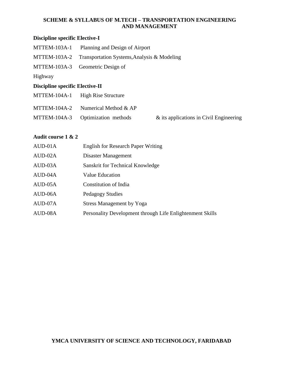#### **Discipline specific Elective-I**

| MTTEM-103A-1                           | Planning and Design of Airport              |                                            |
|----------------------------------------|---------------------------------------------|--------------------------------------------|
| MTTEM-103A-2                           | Transportation Systems, Analysis & Modeling |                                            |
| MTTEM-103A-3                           | Geometric Design of                         |                                            |
| Highway                                |                                             |                                            |
| <b>Discipline specific Elective-II</b> |                                             |                                            |
| MTTEM-104A-1                           | <b>High Rise Structure</b>                  |                                            |
| $MTTEM-104A-2$                         | Numerical Method & AP                       |                                            |
| <b>MTTEM-104A-3</b>                    | Optimization methods                        | $\&$ its applications in Civil Engineering |

#### **Audit course 1 & 2**

| AUD-01A | <b>English for Research Paper Writing</b>                 |
|---------|-----------------------------------------------------------|
| AUD-02A | Disaster Management                                       |
| AUD-03A | Sanskrit for Technical Knowledge                          |
| AUD-04A | <b>Value Education</b>                                    |
| AUD-05A | Constitution of India                                     |
| AUD-06A | Pedagogy Studies                                          |
| AUD-07A | <b>Stress Management by Yoga</b>                          |
| AUD-08A | Personality Development through Life Enlightenment Skills |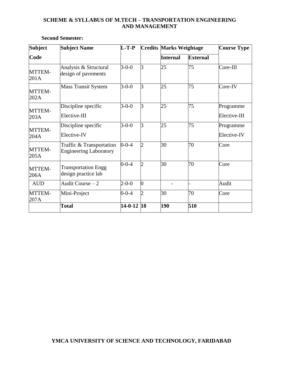| <b>Subject</b>        | <b>Subject Name</b>                                       | $L-TP-$          |                | <b>Credits Marks Weightage</b> |                 | <b>Course Type</b>        |
|-----------------------|-----------------------------------------------------------|------------------|----------------|--------------------------------|-----------------|---------------------------|
| Code                  |                                                           |                  |                | <b>Internal</b>                | <b>External</b> |                           |
| MTTEM-<br>201A        | Analysis & Structural<br>design of pavements              | $3 - 0 - 0$      | 3              | 25                             | 75              | $Core-III$                |
| MTTEM-<br>202A        | <b>Mass Transit System</b>                                | $3 - 0 - 0$      | $\overline{3}$ | 25                             | 75              | Core-IV                   |
| MTTEM-<br>203A        | Discipline specific<br>Elective-III                       | $3 - 0 - 0$      | 3              | 25                             | 75              | Programme<br>Elective-III |
| MTTEM-<br>204A        | Discipline specific<br>Elective-IV                        | $3 - 0 - 0$      | 3              | 25                             | 75              | Programme<br>Elective-IV  |
| MTTEM-<br>205A        | Traffic & Transportation<br><b>Engineering Laboratory</b> | $0 - 0 - 4$      | $\overline{2}$ | 30                             | 70              | Core                      |
| MTTEM-<br>206A        | <b>Transportation Engg</b><br>design practice lab         | $0 - 0 - 4$      | $\overline{2}$ | 30                             | 70              | Core                      |
| <b>AUD</b>            | Audit Course $-2$                                         | $2 - 0 - 0$      | $\overline{0}$ |                                |                 | Audit                     |
| <b>MTTEM-</b><br>207A | Mini-Project                                              | $0 - 0 - 4$      | $\overline{2}$ | 30                             | 70              | Core                      |
|                       | <b>Total</b>                                              | $14 - 0 - 12$ 18 |                | 190                            | 510             |                           |

#### **Second Semester:**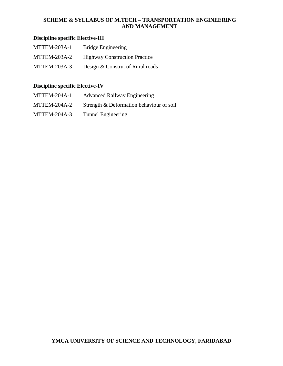#### **Discipline specific Elective-III**

MTTEM-203A-1 Bridge Engineering MTTEM-203A-2 Highway Construction Practice MTTEM-203A-3 Design & Constru. of Rural roads

#### **Discipline specific Elective-IV**

| MTTEM-204A-1 | <b>Advanced Railway Engineering</b>      |
|--------------|------------------------------------------|
| MTTEM-204A-2 | Strength & Deformation behaviour of soil |
| MTTEM-204A-3 | Tunnel Engineering                       |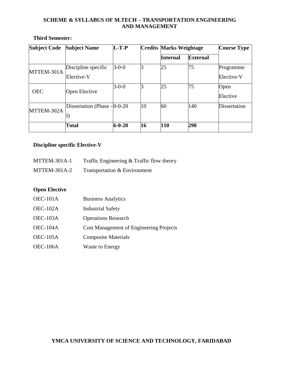#### **Third Semester:**

| <b>Subject Code</b> | <b>Subject Name</b>                                                   | $L-T-P$      |    | <b>Credits Marks Weightage</b> |                 | <b>Course Type</b>      |
|---------------------|-----------------------------------------------------------------------|--------------|----|--------------------------------|-----------------|-------------------------|
|                     |                                                                       |              |    | <b>Internal</b>                | <b>External</b> |                         |
| MTTEM-301A          | Discipline specific<br>Elective-V                                     | $3 - 0 - 0$  |    | 25                             | 75              | Programme<br>Elective-V |
| <b>OEC</b>          | Open Elective                                                         | $3 - 0 - 0$  |    | 25                             | 75              | Open<br>Elective        |
| MTTEM-302A          | Dissertation (Phase - 0-0-20)<br>$\left\vert \mathrm{I}\right\rangle$ |              | 10 | 60                             | 140             | Dissertation            |
|                     | <b>Total</b>                                                          | $6 - 0 - 20$ | 16 | 110                            | 290             |                         |

#### **Discipline specific Elective-V**

| MTTEM-301A-1 | Traffic Engineering $&$ Traffic flow theory |  |
|--------------|---------------------------------------------|--|
|              |                                             |  |

MTTEM-301A-2 Transportation & Environment

#### **Open Elective**

| OEC-101A | <b>Business Analytics</b>                      |
|----------|------------------------------------------------|
| OEC-102A | <b>Industrial Safety</b>                       |
| OEC-103A | <b>Operations Research</b>                     |
| OEC-104A | <b>Cost Management of Engineering Projects</b> |
| OEC-105A | <b>Composite Materials</b>                     |
| OEC-106A | <b>Waste to Energy</b>                         |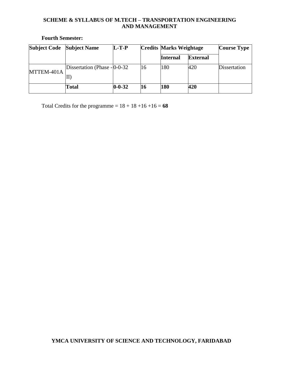**Fourth Semester:**

| <b>Subject Code</b> | <b>Subject Name</b>            | $L-T-P$      |    | <b>Credits Marks Weightage</b> |                 | <b>Course Type</b> |
|---------------------|--------------------------------|--------------|----|--------------------------------|-----------------|--------------------|
|                     |                                |              |    | <b>Internal</b>                | <b>External</b> |                    |
| MTTEM-401A          | Dissertation (Phase $-$ 0-0-32 |              | 16 | 180                            | 420             | Dissertation       |
|                     |                                |              |    |                                |                 |                    |
|                     | Total                          | $0 - 0 - 32$ | 16 | 180                            | 420             |                    |

Total Credits for the programme =  $18 + 18 + 16 + 16 = 68$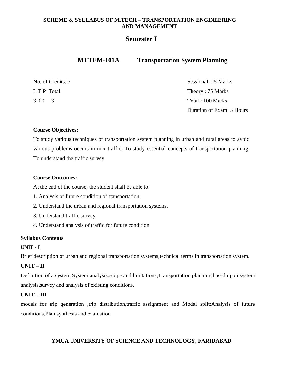#### **Semester I**

### **MTTEM-101A Transportation System Planning**

| No. of Credits: 3 | Sessional: 25 Marks       |
|-------------------|---------------------------|
| L T P Total       | Theory: 75 Marks          |
| 300 3             | Total : 100 Marks         |
|                   | Duration of Exam: 3 Hours |

#### **Course Objectives:**

To study various techniques of transportation system planning in urban and rural areas to avoid various problems occurs in mix traffic. To study essential concepts of transportation planning. To understand the traffic survey.

#### **Course Outcomes:**

At the end of the course, the student shall be able to:

- 1. Analysis of future condition of transportation.
- 2. Understand the urban and regional transportation systems.
- 3. Understand traffic survey
- 4. Understand analysis of traffic for future condition

#### **Syllabus Contents**

#### **UNIT - I**

Brief description of urban and regional transportation systems,technical terms in transportation system.

#### **UNIT – II**

Definition of a system;System analysis:scope and limitations,Transportation planning based upon system analysis,survey and analysis of existing conditions.

#### **UNIT – III**

models for trip generation ,trip distribution,traffic assignment and Modal split;Analysis of future conditions,Plan synthesis and evaluation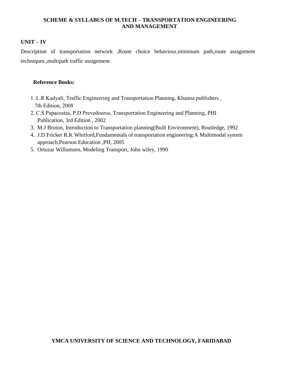#### **UNIT – IV**

Description of transportation network ,Route choice behaviour,minimum path,route assignment techniques ,multipath traffic assignment

#### **Reference Books:**

- 1. L.R Kadyali, Traffic Engineering and Transportation Planning, Khanna publishers , 7th Edition, 2008
- 2. C.S Papacostas, P.D Prevedouros, Transportation Engineering and Planning, PHI Publication, 3rd Edition , 2002
- 3. M.J Bruton, Introduction to Transportation planning(Built Environment), Routledge, 1992
- 4. J.D Fricker R.K Whitford,Fundamentals of transportation engineering:A Multimodal system approach,Pearson Education ,PH, 2005
- 5. Ortuzar Willumsen, Modeling Transport, John wiley, 1990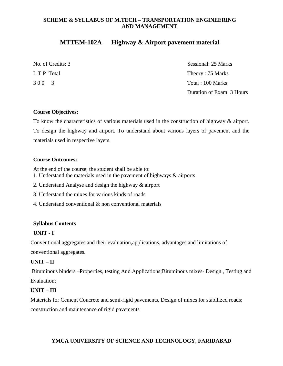#### **MTTEM-102A Highway & Airport pavement material**

| No. of Credits: 3 | Sessional: 25 Marks       |
|-------------------|---------------------------|
| L T P Total       | Theory: 75 Marks          |
| 300 3             | Total : 100 Marks         |
|                   | Duration of Exam: 3 Hours |

#### **Course Objectives:**

To know the characteristics of various materials used in the construction of highway & airport. To design the highway and airport. To understand about various layers of pavement and the materials used in respective layers.

#### **Course Outcomes:**

At the end of the course, the student shall be able to:

- 1. Understand the materials used in the pavement of highways & airports.
- 2. Understand Analyse and design the highway & airport
- 3. Understand the mixes for various kinds of roads
- 4. Understand conventional & non conventional materials

#### **Syllabus Contents**

#### **UNIT - I**

Conventional aggregates and their evaluation,applications, advantages and limitations of

### conventional aggregates.

#### **UNIT – II**

Bituminous binders –Properties, testing And Applications;Bituminous mixes- Design , Testing and Evaluation;

#### **UNIT – III**

Materials for Cement Concrete and semi-rigid pavements, Design of mixes for stabilized roads; construction and maintenance of rigid pavements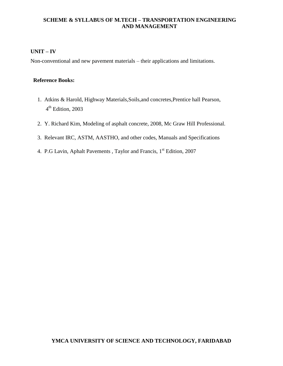#### **UNIT – IV**

Non-conventional and new pavement materials – their applications and limitations.

#### **Reference Books:**

- 1. Atkins & Harold, Highway Materials,Soils,and concretes,Prentice hall Pearson, 4 th Edition, 2003
	- 2. Y. Richard Kim, Modeling of asphalt concrete, 2008, Mc Graw Hill Professional.
	- 3. Relevant IRC, ASTM, AASTHO, and other codes, Manuals and Specifications
	- 4. P.G Lavin, Aphalt Pavements, Taylor and Francis, 1<sup>st</sup> Edition, 2007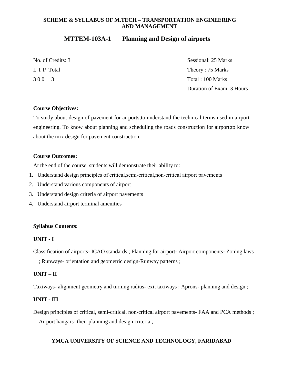#### **MTTEM-103A-1 Planning and Design of airports**

|             | No. of Credits: 3 |
|-------------|-------------------|
| L T P Total |                   |
| 300         | $\overline{3}$    |

Sessional: 25 Marks Theory :  $75$  Marks Total : 100 Marks Duration of Exam: 3 Hours

#### **Course Objectives:**

To study about design of pavement for airports;to understand the technical terms used in airport engineering. To know about planning and scheduling the roads construction for airport;to know about the mix design for pavement construction.

#### **Course Outcomes:**

At the end of the course, students will demonstrate their ability to:

- 1. Understand design principles of critical,semi-critical,non-critical airport pavements
- 2. Understand various components of airport
- 3. Understand design criteria of airport pavements
- 4. Understand airport terminal amenities

#### **Syllabus Contents:**

#### **UNIT - I**

Classification of airports- ICAO standards ; Planning for airport- Airport components- Zoning laws

; Runways- orientation and geometric design-Runway patterns ;

#### **UNIT – II**

Taxiways- alignment geometry and turning radius- exit taxiways ; Aprons- planning and design ;

#### **UNIT - III**

Design principles of critical, semi-critical, non-critical airport pavements- FAA and PCA methods ; Airport hangars- their planning and design criteria ;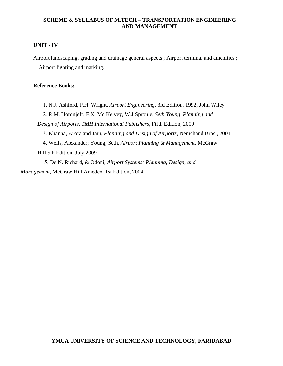#### **UNIT - IV**

Airport landscaping, grading and drainage general aspects ; Airport terminal and amenities ; Airport lighting and marking.

#### **Reference Books:**

 1. N.J. Ashford, P.H. Wright, *Airport Engineering*, 3rd Edition, 1992, John Wiley 2. R.M. Horonjeff, F.X. Mc Kelvey, W.J Sproule, *Seth Young, Planning and Design of Airports*, *TMH International Publishers*, Fifth Edition, 2009 3. Khanna, Arora and Jain, *Planning and Design of Airports*, Nemchand Bros., 2001 4. Wells, Alexander; Young, Seth, *Airport Planning & Management*, McGraw Hill,5th Edition, July,2009

 5. De N. Richard, & Odoni, *Airport Systems: Planning, Design, and Management*, McGraw Hill Amedeo, 1st Edition, 2004.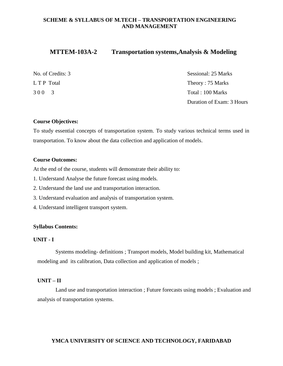#### **MTTEM-103A-2 Transportation systems,Analysis & Modeling**

|             | No. of Credits: |
|-------------|-----------------|
| L T P Total |                 |
| 300         | $\sim$ 3        |

Sessional: 25 Marks Theory :  $75$  Marks Total: 100 Marks Duration of Exam: 3 Hours

#### **Course Objectives:**

To study essential concepts of transportation system. To study various technical terms used in transportation. To know about the data collection and application of models.

#### **Course Outcomes:**

At the end of the course, students will demonstrate their ability to:

- 1. Understand Analyse the future forecast using models.
- 2. Understand the land use and transportation interaction.
- 3. Understand evaluation and analysis of transportation system.
- 4. Understand intelligent transport system.

#### **Syllabus Contents:**

#### **UNIT - I**

Systems modeling- definitions ; Transport models, Model building kit, Mathematical modeling and its calibration, Data collection and application of models ;

#### **UNIT – II**

Land use and transportation interaction ; Future forecasts using models ; Evaluation and analysis of transportation systems.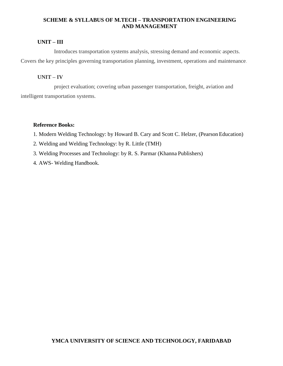#### **UNIT – III**

Introduces transportation systems analysis, stressing demand and economic aspects. Covers the key principles governing transportation planning, investment, operations and maintenance.

#### **UNIT – IV**

project evaluation; covering urban passenger transportation, freight, aviation and intelligent transportation systems.

#### **Reference Books:**

1. Modern Welding Technology: by Howard B. Cary and Scott C. Helzer, (Pearson Education)

- 2. Welding and Welding Technology: by R. Little (TMH)
- 3. Welding Processes and Technology: by R. S. Parmar (Khanna Publishers)
- 4. AWS- Welding Handbook.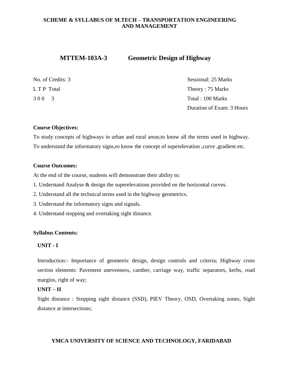### **MTTEM-103A-3 Geometric Design of Highway**

| No. of Credits: 3 | Sessional: 25 Marks       |
|-------------------|---------------------------|
| L T P Total       | Theory: 75 Marks          |
| 300 3             | Total : 100 Marks         |
|                   | Duration of Exam: 3 Hours |

#### **Course Objectives:**

To study concepts of highways in urban and rural areas;to know all the terms used in highway. To understand the informatory signs,to know the concept of superelevation ,curve ,gradient etc.

#### **Course Outcomes:**

At the end of the course, students will demonstrate their ability to:

- 1. Understand Analyse & design the superelevations provided on the horizontal curves.
- 2. Understand all the technical terms used in the highway geometrics.
- 3. Understand the informatory signs and signals.
- 4. Understand stopping and overtaking sight distance.

#### **Syllabus Contents:**

#### **UNIT - I**

Introduction:- Importance of geometric design, design controls and criteria; Highway cross section elements: Pavement unevenness, camber, carriage way, traffic separators, kerbs, road margins, right of way;

#### **UNIT – II**

Sight distance : Stopping sight distance (SSD), PIEV Theory, OSD, Overtaking zones, Sight distance at intersections;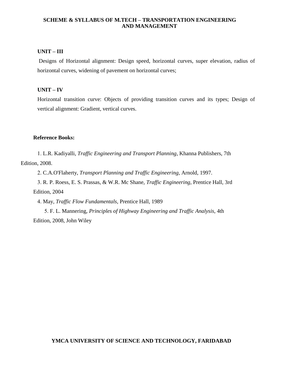#### **UNIT – III**

Designs of Horizontal alignment: Design speed, horizontal curves, super elevation, radius of horizontal curves, widening of pavement on horizontal curves;

#### **UNIT – IV**

Horizontal transition curve: Objects of providing transition curves and its types; Design of vertical alignment: Gradient, vertical curves.

#### **Reference Books:**

1. L.R. Kadiyalli, *Traffic Engineering and Transport Planning*, Khanna Publishers, 7th Edition, 2008.

2. C.A.O'Flaherty, *Transport Planning and Traffic Engineering*, Arnold, 1997.

 3. R. P. Roess, E. S. Prassas, & W.R. Mc Shane, *Traffic Engineering*, Prentice Hall, 3rd Edition, 2004

4. May, *Traffic Flow Fundamentals*, Prentice Hall, 1989

 5. F. L. Mannering, *Principles of Highway Engineering and Traffic Analysis*, 4th Edition, 2008, John Wiley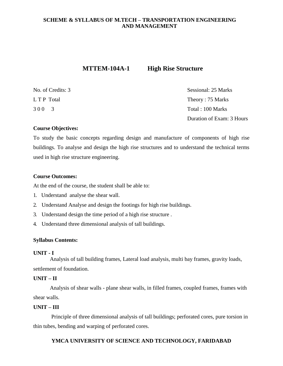#### **MTTEM-104A-1** High Rise Structure

| No. of Credits: 3 | Sessional: 25 Marks       |
|-------------------|---------------------------|
| L T P Total       | Theory: 75 Marks          |
| 300 3             | Total : 100 Marks         |
|                   | Duration of Exam: 3 Hours |

#### **Course Objectives:**

To study the basic concepts regarding design and manufacture of components of high rise buildings. To analyse and design the high rise structures and to understand the technical terms used in high rise structure engineering.

#### **Course Outcomes:**

At the end of the course, the student shall be able to:

- 1. Understand analyse the shear wall.
- 2. Understand Analyse and design the footings for high rise buildings.
- 3. Understand design the time period of a high rise structure .
- 4. Understand three dimensional analysis of tall buildings.

#### **Syllabus Contents:**

#### **UNIT - I**

Analysis of tall building frames, Lateral load analysis, multi bay frames, gravity loads, settlement of foundation.

#### **UNIT – II**

Analysis of shear walls - plane shear walls, in filled frames, coupled frames, frames with shear walls.

#### **UNIT – III**

Principle of three dimensional analysis of tall buildings; perforated cores, pure torsion in thin tubes, bending and warping of perforated cores.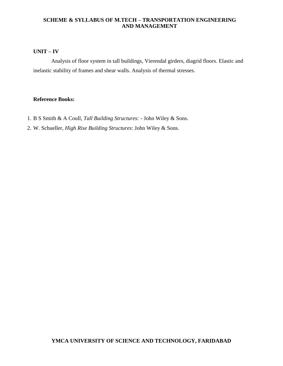#### **UNIT – IV**

Analysis of floor system in tall buildings, Vierendal girders, diagrid floors. Elastic and inelastic stability of frames and shear walls. Analysis of thermal stresses.

#### **Reference Books:**

- 1. B S Smith & A Coull, *Tall Building Structures:* John Wiley & Sons.
- 2. W. Schueller, *High Rise Building Structures*: John Wiley & Sons.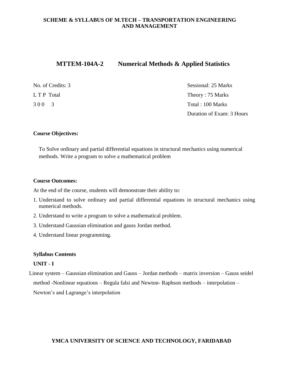#### **MTTEM-104A-2 Numerical Methods & Applied Statistics**

| No. of Credits: 3 | Sessional: 25 Marks       |
|-------------------|---------------------------|
| L T P Total       | Theory: 75 Marks          |
| 300 3             | Total : 100 Marks         |
|                   | Duration of Exam: 3 Hours |

#### **Course Objectives:**

To Solve ordinary and partial differential equations in structural mechanics using numerical methods. Write a program to solve a mathematical problem

#### **Course Outcomes:**

At the end of the course, students will demonstrate their ability to:

- 1. Understand to solve ordinary and partial differential equations in structural mechanics using numerical methods.
- 2. Understand to write a program to solve a mathematical problem.
- 3. Understand Gaussian elimination and gauss Jordan method.
- 4. Understand linear programming.

#### **Syllabus Contents**

#### **UNIT - I**

Linear system – Gaussian elimination and Gauss – Jordan methods – matrix inversion – Gauss seidel method -Nonlinear equations – Regula falsi and Newton- Raphson methods – interpolation – Newton's and Lagrange's interpolation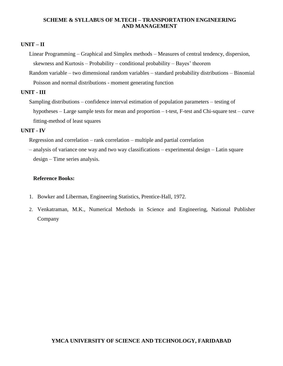#### **UNIT – II**

Linear Programming – Graphical and Simplex methods – Measures of central tendency, dispersion, skewness and Kurtosis – Probability – conditional probability – Bayes' theorem

Random variable – two dimensional random variables – standard probability distributions – Binomial Poisson and normal distributions - moment generating function

#### **UNIT - III**

Sampling distributions – confidence interval estimation of population parameters – testing of hypotheses – Large sample tests for mean and proportion – t-test, F-test and Chi-square test – curve fitting-method of least squares

#### **UNIT - IV**

Regression and correlation – rank correlation – multiple and partial correlation

– analysis of variance one way and two way classifications – experimental design – Latin square design – Time series analysis.

#### **Reference Books:**

- 1. Bowker and Liberman, Engineering Statistics, Prentice-Hall, 1972.
- 2. Venkatraman, M.K., Numerical Methods in Science and Engineering, National Publisher Company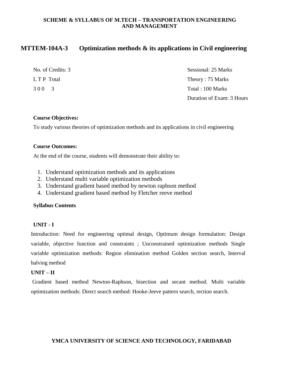#### **MTTEM-104A-3 Optimization methods & its applications in Civil engineering**

| No. of Credits: 3 | Sessional: 25 Marks       |
|-------------------|---------------------------|
| L T P Total       | Theory: 75 Marks          |
| 300 3             | Total : 100 Marks         |
|                   | Duration of Exam: 3 Hours |

#### **Course Objectives:**

To study various theories of optimization methods and its applications in civil engineering

#### **Course Outcomes:**

At the end of the course, students will demonstrate their ability to:

- 1. Understand optimization methods and its applications
- 2. Understand multi variable optimization methods
- 3. Understand gradient based method by newton raphson method
- 4. Understand gradient based method by Fletcher reeve method

#### **Syllabus Contents**

#### **UNIT - I**

Introduction: Need for engineering optimal design, Optimum design formulation: Design variable, objective function and constraints ; Unconstrained optimization methods Single variable optimization methods: Region elimination method Golden section search, Interval halving method

#### **UNIT – II**

Gradient based method Newton-Raphson, bisection and secant method. Multi variable optimization methods: Direct search method: Hooke-Jeeve pattern search, rection search.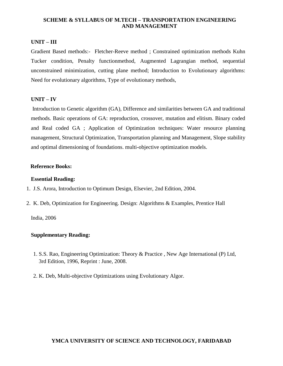#### **UNIT – III**

Gradient Based methods:- Fletcher-Reeve method ; Constrained optimization methods Kuhn Tucker condition, Penalty functionmethod, Augmented Lagrangian method, sequential unconstrained minimization, cutting plane method; Introduction to Evolutionary algorithms: Need for evolutionary algorithms, Type of evolutionary methods,

#### **UNIT – IV**

Introduction to Genetic algorithm (GA), Difference and similarities between GA and traditional methods. Basic operations of GA: reproduction, crossover, mutation and elitism. Binary coded and Real coded GA ; Application of Optimization techniques: Water resource planning management, Structural Optimization, Transportation planning and Management, Slope stability and optimal dimensioning of foundations. multi-objective optimization models.

#### **Reference Books:**

#### **Essential Reading:**

- 1. J.S. Arora, Introduction to Optimum Design, Elsevier, 2nd Edition, 2004.
- 2. K. Deb, Optimization for Engineering. Design: Algorithms & Examples, Prentice Hall

India, 2006

#### **Supplementary Reading:**

- 1. S.S. Rao, Engineering Optimization: Theory & Practice , New Age International (P) Ltd, 3rd Edition, 1996, Reprint : June, 2008.
- 2. K. Deb, Multi-objective Optimizations using Evolutionary Algor.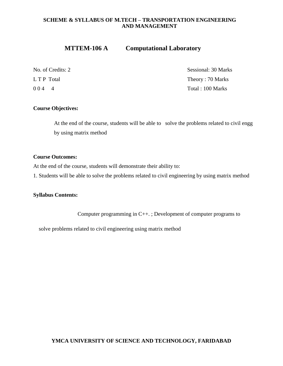#### **MTTEM-106 A Computational Laboratory**

No. of Credits: 2 Sessional: 30 Marks L T P Total Theory : 70 Marks 0 0 4 4 Total : 100 Marks

#### **Course Objectives:**

At the end of the course, students will be able to solve the problems related to civil engg by using matrix method

#### **Course Outcomes:**

At the end of the course, students will demonstrate their ability to:

1. Students will be able to solve the problems related to civil engineering by using matrix method

#### **Syllabus Contents:**

Computer programming in C++. ; Development of computer programs to

solve problems related to civil engineering using matrix method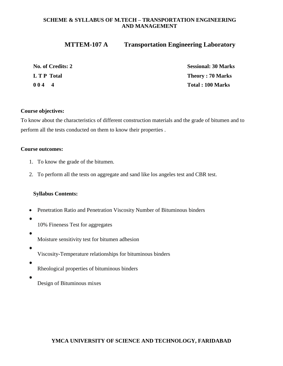#### **MTTEM-107 A Transportation Engineering Laboratory**

| No. of Credits: 2 | <b>Sessional: 30 Marks</b> |
|-------------------|----------------------------|
| L T P Total       | <b>Theory: 70 Marks</b>    |
| 0044              | Total: 100 Marks           |

#### **Course objectives:**

To know about the characteristics of different construction materials and the grade of bitumen and to perform all the tests conducted on them to know their properties .

#### **Course outcomes:**

- 1. To know the grade of the bitumen.
- 2. To perform all the tests on aggregate and sand like los angeles test and CBR test.

#### **Syllabus Contents:**

- Penetration Ratio and Penetration Viscosity Number of Bituminous binders
	- 10% Fineness Test for aggregates
- Moisture sensitivity test for bitumen adhesion
- Viscosity-Temperature relationships for bituminous binders
- Rheological properties of bituminous binders
- 

Design of Bituminous mixes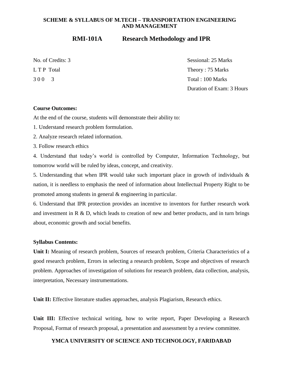#### **RMI-101A Research Methodology and IPR**

No. of Credits: 3 Sessional: 25 Marks L T P Total Theory : 75 Marks 3 0 0 3 Total : 100 Marks Duration of Exam: 3 Hours

#### **Course Outcomes:**

At the end of the course, students will demonstrate their ability to:

1. Understand research problem formulation.

2. Analyze research related information.

3. Follow research ethics

4. Understand that today's world is controlled by Computer, Information Technology, but tomorrow world will be ruled by ideas, concept, and creativity.

5. Understanding that when IPR would take such important place in growth of individuals & nation, it is needless to emphasis the need of information about Intellectual Property Right to be promoted among students in general & engineering in particular.

6. Understand that IPR protection provides an incentive to inventors for further research work and investment in  $R \& D$ , which leads to creation of new and better products, and in turn brings about, economic growth and social benefits.

#### **Syllabus Contents:**

**Unit I:** Meaning of research problem, Sources of research problem, Criteria Characteristics of a good research problem, Errors in selecting a research problem, Scope and objectives of research problem. Approaches of investigation of solutions for research problem, data collection, analysis, interpretation, Necessary instrumentations.

Unit II: Effective literature studies approaches, analysis Plagiarism, Research ethics.

Unit III: Effective technical writing, how to write report, Paper Developing a Research Proposal, Format of research proposal, a presentation and assessment by a review committee.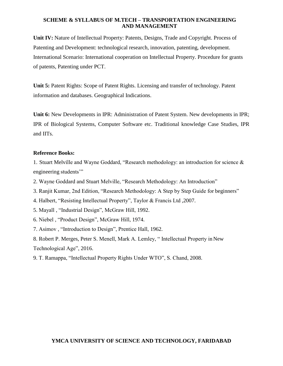**Unit IV:** Nature of Intellectual Property: Patents, Designs, Trade and Copyright. Process of Patenting and Development: technological research, innovation, patenting, development. International Scenario: International cooperation on Intellectual Property. Procedure for grants of patents, Patenting under PCT.

**Unit 5:** Patent Rights: Scope of Patent Rights. Licensing and transfer of technology. Patent information and databases. Geographical Indications.

**Unit 6:** New Developments in IPR: Administration of Patent System. New developments in IPR; IPR of Biological Systems, Computer Software etc. Traditional knowledge Case Studies, IPR and IITs.

#### **Reference Books:**

1. Stuart Melville and Wayne Goddard, "Research methodology: an introduction for science & engineering students'"

- 2. Wayne Goddard and Stuart Melville, "Research Methodology: An Introduction"
- 3. Ranjit Kumar, 2nd Edition, "Research Methodology: A Step by Step Guide for beginners"
- 4. Halbert, "Resisting Intellectual Property", Taylor & Francis Ltd ,2007.
- 5. Mayall , "Industrial Design", McGraw Hill, 1992.
- 6. Niebel , "Product Design", McGraw Hill, 1974.
- 7. Asimov , "Introduction to Design", Prentice Hall, 1962.

8. Robert P. Merges, Peter S. Menell, Mark A. Lemley, " Intellectual Property in New Technological Age", 2016.

9. T. Ramappa, "Intellectual Property Rights Under WTO", S. Chand, 2008.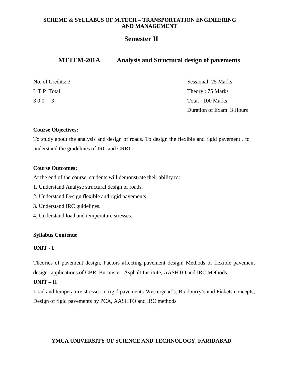### **Semester II**

#### **MTTEM-201A Analysis and Structural design of pavements**

| No. of Credits: 3 | Sessional: 25 Marks       |
|-------------------|---------------------------|
| L T P Total       | Theory: 75 Marks          |
| 300 3             | Total : 100 Marks         |
|                   | Duration of Exam: 3 Hours |

#### **Course Objectives:**

To study about the analysis and design of roads. To design the flexible and rigid pavement . to understand the guidelines of IRC and CRRI .

#### **Course Outcomes:**

At the end of the course, students will demonstrate their ability to:

- 1. Understand Analyse structural design of roads.
- 2. Understand Design flexible and rigid pavements.
- 3. Understand IRC guidelines.
- 4. Understand load and temperature stresses.

#### **Syllabus Contents:**

#### **UNIT - I**

Theories of pavement design, Factors affecting pavement design; Methods of flexible pavement design- applications of CBR, Burmister, Asphalt Institute, AASHTO and IRC Methods.

#### **UNIT – II**

 Load and temperature stresses in rigid pavements-Westergaad's, Bradburry's and Pickets concepts; Design of rigid pavements by PCA, AASHTO and IRC methods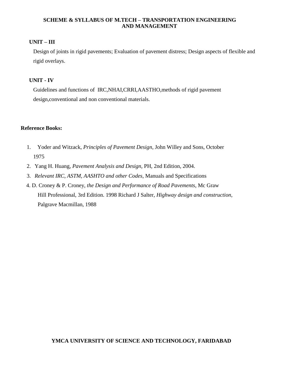#### **UNIT – III**

 Design of joints in rigid pavements; Evaluation of pavement distress; Design aspects of flexible and rigid overlays.

#### **UNIT - IV**

Guidelines and functions of IRC,NHAI,CRRI,AASTHO,methods of rigid pavement design,conventional and non conventional materials.

#### **Reference Books:**

- 1. Yoder and Witzack, *Principles of Pavement Design*, John Willey and Sons, October 1975
- 2. Yang H. Huang*, Pavement Analysis and Design*, PH, 2nd Edition, 2004.
- 3. *Relevant IRC, ASTM, AASHTO and other Codes*, Manuals and Specifications
- 4. D. Croney & P. Croney, *the Design and Performance of Road Pavements*, Mc Graw Hill Professional, 3rd Edition. 1998 Richard J Salter, *Highway design and construction*, Palgrave Macmillan, 1988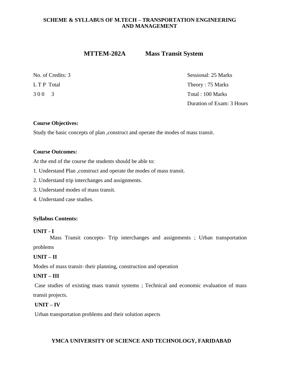#### **MTTEM-202A Mass Transit System**

No. of Credits: 3 Sessional: 25 Marks L T P Total Theory : 75 Marks 3 0 0 3 Total : 100 Marks Duration of Exam: 3 Hours

#### **Course Objectives:**

Study the basic concepts of plan ,construct and operate the modes of mass transit.

#### **Course Outcomes:**

At the end of the course the students should be able to:

- 1. Understand Plan ,construct and operate the modes of mass transit.
- 2. Understand trip interchanges and assignments.
- 3. Understand modes of mass transit.
- 4. Understand case studies.

#### **Syllabus Contents:**

#### **UNIT - I**

Mass Transit concepts- Trip interchanges and assignments ; Urban transportation

problems

#### **UNIT – II**

Modes of mass transit- their planning, construction and operation

#### **UNIT – III**

Case studies of existing mass transit systems ; Technical and economic evaluation of mass transit projects.

#### **UNIT – IV**

Urban transportation problems and their solution aspects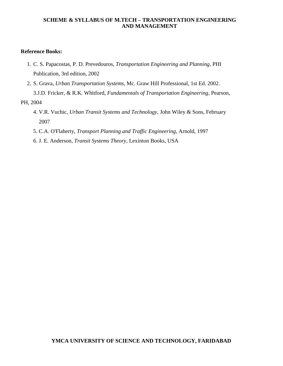#### **Reference Books:**

- 1. C. S. Papacostas, P. D. Prevedouros, *Transportation Engineering and Planning*, PHI Publication, 3rd edition, 2002
- 2. S. Grava, *Urban Transportation Systems*, Mc. Graw Hill Professional, 1st Ed. 2002. 3.J.D. Fricker, & R.K. Whitford, *Fundamentals of Transportation Engineering*, Pearson,

PH, 2004

- 4. V.R. Vuchic, *Urban Transit Systems and Technology*, John Wiley & Sons, February 2007
- 5. C.A. O'Flaherty, *Transport Planning and Traffic Engineering*, Arnold, 1997
- 6. J. E. Anderson, *Transit Systems Theory*, Lexinton Books, USA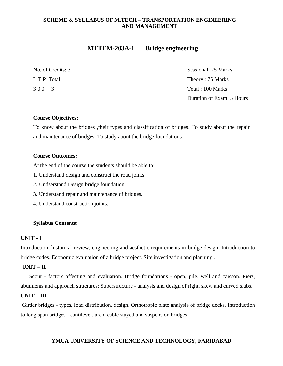#### **MTTEM-203A-1 Bridge engineering**

|             | No. of Credits: 3 |  |
|-------------|-------------------|--|
| L T P Total |                   |  |
| 300         | 3                 |  |

Sessional: 25 Marks Theory : 75 Marks Total : 100 Marks Duration of Exam: 3 Hours

#### **Course Objectives:**

To know about the bridges ,their types and classification of bridges. To study about the repair and maintenance of bridges. To study about the bridge foundations.

#### **Course Outcomes:**

At the end of the course the students should be able to:

- 1. Understand design and construct the road joints.
- 2. Undserstand Design bridge foundation.
- 3. Understand repair and maintenance of bridges.
- 4. Understand construction joints.

#### **Syllabus Contents:**

#### **UNIT - I**

Introduction, historical review, engineering and aesthetic requirements in bridge design. Introduction to bridge codes. Economic evaluation of a bridge project. Site investigation and planning;.

#### **UNIT – II**

 Scour - factors affecting and evaluation. Bridge foundations - open, pile, well and caisson. Piers, abutments and approach structures; Superstructure - analysis and design of right, skew and curved slabs.

#### **UNIT – III**

Girder bridges - types, load distribution, design. Orthotropic plate analysis of bridge decks. Introduction to long span bridges - cantilever, arch, cable stayed and suspension bridges.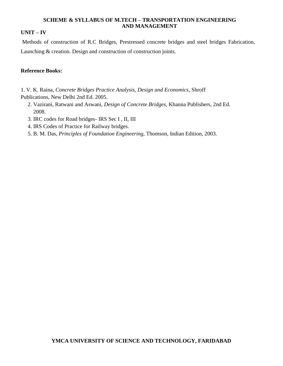#### **UNIT – IV**

Methods of construction of R.C Bridges, Prestressed concrete bridges and steel bridges Fabrication, Launching & creation. Design and construction of construction joints.

#### **Reference Books:**

1. V. K. Raina, *Concrete Bridges Practice Analysis, Design and Economics*, Shroff Publications, New Delhi 2nd Ed. 2005.

- 2. Vazirani, Ratwani and Aswani, *Design of Concrete Bridges*, Khanna Publishers, 2nd Ed. 2008.
- 3. IRC codes for Road bridges- IRS Sec I , II, III
- 4. IRS Codes of Practice for Railway bridges.
- 5. B. M. Das, *Principles of Foundation Engineering,* Thomson, Indian Edition, 2003.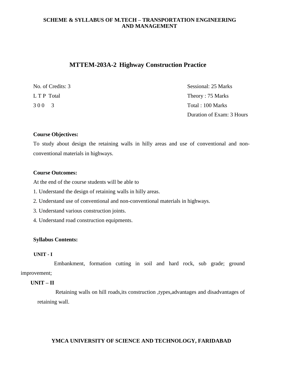#### **MTTEM-203A-2 Highway Construction Practice**

| No. of Credits: 3 | Sessional: 25 Marks       |
|-------------------|---------------------------|
| L T P Total       | Theory: 75 Marks          |
| 300 3             | Total : 100 Marks         |
|                   | Duration of Exam: 3 Hours |

#### **Course Objectives:**

To study about design the retaining walls in hilly areas and use of conventional and nonconventional materials in highways.

#### **Course Outcomes:**

At the end of the course students will be able to

- 1. Understand the design of retaining walls in hilly areas.
- 2. Understand use of conventional and non-conventional materials in highways.
- 3. Understand various construction joints.
- 4. Understand road construction equipments.

#### **Syllabus Contents:**

#### **UNIT - I**

Embankment, formation cutting in soil and hard rock, sub grade; ground improvement;

#### **UNIT – II**

Retaining walls on hill roads,its construction ,types,advantages and disadvantages of retaining wall.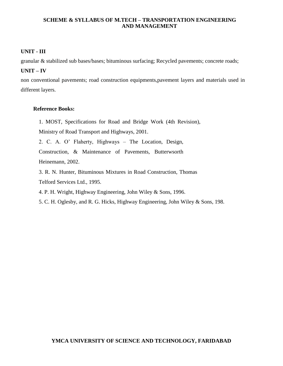#### **UNIT - III**

granular & stabilized sub bases/bases; bituminous surfacing; Recycled pavements; concrete roads;

#### **UNIT – IV**

non conventional pavements; road construction equipments,pavement layers and materials used in different layers.

#### **Reference Books:**

1. MOST, Specifications for Road and Bridge Work (4th Revision),

Ministry of Road Transport and Highways, 2001.

2. C. A. O' Flaherty, Highways – The Location, Design,

Construction, & Maintenance of Pavements, Butterwsorth Heinemann, 2002.

3. R. N. Hunter, Bituminous Mixtures in Road Construction, Thomas Telford Services Ltd., 1995.

4. P. H. Wright, Highway Engineering, John Wiley & Sons, 1996.

5. C. H. Oglesby, and R. G. Hicks, Highway Engineering, John Wiley & Sons, 198.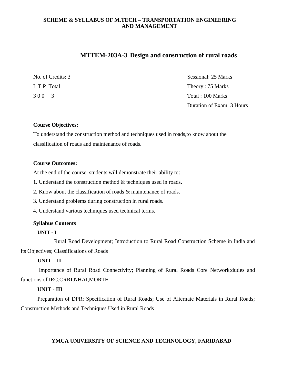#### **MTTEM-203A-3 Design and construction of rural roads**

No. of Credits: 3 Sessional: 25 Marks L T P Total Theory : 75 Marks 3 0 0 3 Total : 100 Marks Duration of Exam: 3 Hours

#### **Course Objectives:**

To understand the construction method and techniques used in roads,to know about the classification of roads and maintenance of roads.

#### **Course Outcomes:**

At the end of the course, students will demonstrate their ability to:

1. Understand the construction method & techniques used in roads.

2. Know about the classification of roads & maintenance of roads.

3. Understand problems during construction in rural roads.

4. Understand various techniques used technical terms.

#### **Syllabus Contents**

#### **UNIT - I**

Rural Road Development; Introduction to Rural Road Construction Scheme in India and its Objectives; Classifications of Roads

#### **UNIT – II**

Importance of Rural Road Connectivity; Planning of Rural Roads Core Network;duties and functions of IRC,CRRI,NHAI,MORTH

#### **UNIT - III**

Preparation of DPR; Specification of Rural Roads; Use of Alternate Materials in Rural Roads; Construction Methods and Techniques Used in Rural Roads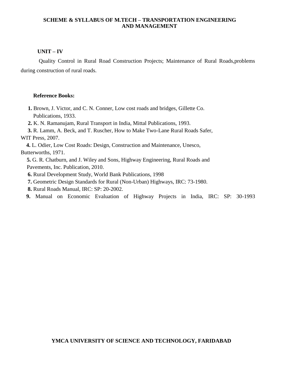# **UNIT – IV**

Quality Control in Rural Road Construction Projects; Maintenance of Rural Roads,problems during construction of rural roads.

### **Reference Books:**

- **1.** Brown, J. Victor, and C. N. Conner, Low cost roads and bridges, Gillette Co. Publications, 1933.
- **2.** K. N. Ramanujam, Rural Transport in India, Mittal Publications, 1993.

 **3.** R. Lamm, A. Beck, and T. Ruscher, How to Make Two-Lane Rural Roads Safer, WIT Press, 2007.

 **4.** L. Odier, Low Cost Roads: Design, Construction and Maintenance, Unesco, Butterworths, 1971.

**5.** G. R. Chatburn, and J. Wiley and Sons, Highway Engineering, Rural Roads and Pavements, Inc. Publication, 2010.

**6.** Rural Development Study, World Bank Publications, 1998

**7.** Geometric Design Standards for Rural (Non-Urban) Highways, IRC: 73-1980.

**8.** Rural Roads Manual, IRC: SP: 20-2002.

 **9.** Manual on Economic Evaluation of Highway Projects in India, IRC: SP: 30-1993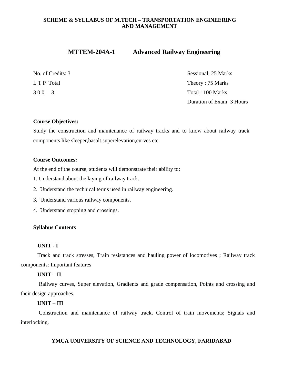# **MTTEM-204A-1 Advanced Railway Engineering**

|             | No. of Credits: |  |
|-------------|-----------------|--|
| L T P Total |                 |  |
| 300         |                 |  |

Sessional: 25 Marks Theory :  $75$  Marks Total: 100 Marks Duration of Exam: 3 Hours

# **Course Objectives:**

Study the construction and maintenance of railway tracks and to know about railway track components like sleeper,basalt,superelevation,curves etc.

# **Course Outcomes:**

At the end of the course, students will demonstrate their ability to:

- 1. Understand about the laying of railway track.
- 2. Understand the technical terms used in railway engineering.
- 3. Understand various railway components.
- 4. Understand stopping and crossings.

# **Syllabus Contents**

# **UNIT - I**

Track and track stresses, Train resistances and hauling power of locomotives ; Railway track components: Important features

# **UNIT – II**

Railway curves, Super elevation, Gradients and grade compensation, Points and crossing and their design approaches.

# **UNIT – III**

Construction and maintenance of railway track, Control of train movements; Signals and interlocking.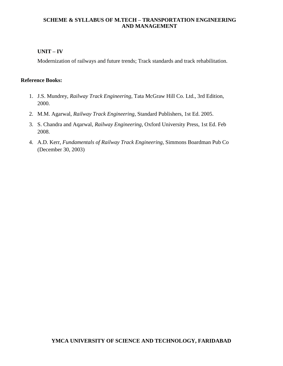# **UNIT – IV**

Modernization of railways and future trends; Track standards and track rehabilitation.

### **Reference Books:**

- 1. J.S. Mundrey, *Railway Track Engineering*, Tata McGraw Hill Co. Ltd., 3rd Edition, 2000.
- 2. M.M. Agarwal, *Railway Track Engineering*, Standard Publishers, 1st Ed. 2005.
- 3. S. Chandra and Aqarwal, *Railway Engineering*, Oxford University Press, 1st Ed. Feb 2008.
- 4. A.D. Kerr, *Fundamentals of Railway Track Engineering*, Simmons Boardman Pub Co (December 30, 2003)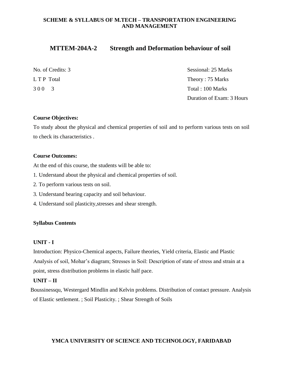# **MTTEM-204A-2 Strength and Deformation behaviour of soil**

| No. of Credits: 3 | Sessional: 25 Marks       |
|-------------------|---------------------------|
| L T P Total       | Theory: 75 Marks          |
| 300 3             | Total : 100 Marks         |
|                   | Duration of Exam: 3 Hours |

### **Course Objectives:**

To study about the physical and chemical properties of soil and to perform various tests on soil to check its characteristics .

### **Course Outcomes:**

At the end of this course, the students will be able to:

- 1. Understand about the physical and chemical properties of soil.
- 2. To perform various tests on soil.
- 3. Understand bearing capacity and soil behaviour.
- 4. Understand soil plasticity,stresses and shear strength.

#### **Syllabus Contents**

#### **UNIT - I**

Introduction: Physico-Chemical aspects, Failure theories, Yield criteria, Elastic and Plastic Analysis of soil, Mohar's diagram; Stresses in Soil: Description of state of stress and strain at a point, stress distribution problems in elastic half pace.

# **UNIT – II**

Boussinessqu, Westergard Mindlin and Kelvin problems. Distribution of contact pressure. Analysis of Elastic settlement. ; Soil Plasticity. ; Shear Strength of Soils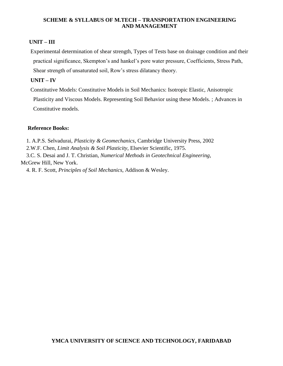# **UNIT – III**

Experimental determination of shear strength, Types of Tests base on drainage condition and their practical significance, Skempton's and hankel's pore water pressure, Coefficients, Stress Path, Shear strength of unsaturated soil, Row's stress dilatancy theory.

# **UNIT – IV**

Constitutive Models: Constitutive Models in Soil Mechanics: Isotropic Elastic, Anisotropic Plasticity and Viscous Models. Representing Soil Behavior using these Models. ; Advances in Constitutive models.

# **Reference Books:**

1. A.P.S. Selvadurai, *Plasticity & Geomechanics*, Cambridge University Press, 2002

2.W.F. Chen, *Limit Analysis & Soil Plasticity*, Elsevier Scientific, 1975.

 3.C. S. Desai and J. T. Christian, *Numerical Methods in Geotechnical Engineering*, McGrew Hill, New York.

4. R. F. Scott, *Principles of Soil Mechanics*, Addison & Wesley.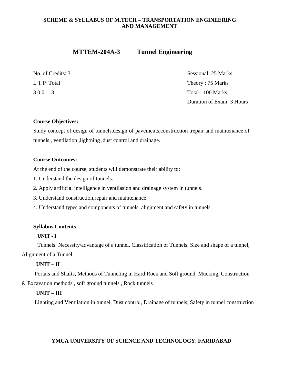# **MTTEM-204A-3 Tunnel Engineering**

No. of Credits: 3 Sessional: 25 Marks L T P Total Theory : 75 Marks 3 0 0 3 Total : 100 Marks Duration of Exam: 3 Hours

# **Course Objectives:**

Study concept of design of tunnels,design of pavements,construction ,repair and maintenance of tunnels , ventilation ,lightning ,dust control and drainage.

# **Course Outcomes:**

At the end of the course, students will demonstrate their ability to:

- 1. Understand the design of tunnels.
- 2. Apply artificial intelligence in ventilasion and drainage system in tunnels.
- 3. Understand construction,repair and maintenance.
- 4. Understand types and components of tunnels, alignment and safety in tunnels.

# **Syllabus Contents**

# **UNIT - I**

Tunnels: Necessity/advantage of a tunnel, Classification of Tunnels, Size and shape of a tunnel,

Alignment of a Tunnel

# **UNIT – II**

Portals and Shafts, Methods of Tunneling in Hard Rock and Soft ground, Mucking, Construction & Excavation methods , soft ground tunnels , Rock tunnels

# **UNIT – III**

Lighting and Ventilation in tunnel, Dust control, Drainage of tunnels, Safety in tunnel construction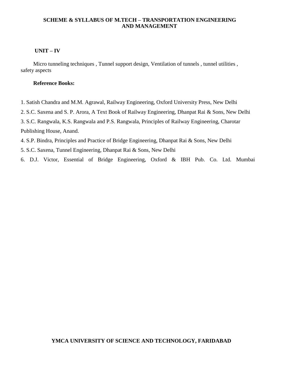### **UNIT – IV**

Micro tunneling techniques, Tunnel support design, Ventilation of tunnels, tunnel utilities, safety aspects

# **Reference Books:**

1. Satish Chandra and M.M. Agrawal, Railway Engineering, Oxford University Press, New Delhi

2. S.C. Saxena and S. P. Arora, A Text Book of Railway Engineering, Dhanpat Rai & Sons, New Delhi

3. S.C. Rangwala, K.S. Rangwala and P.S. Rangwala, Principles of Railway Engineering, Charotar Publishing House, Anand.

4. S.P. Bindra, Principles and Practice of Bridge Engineering, Dhanpat Rai & Sons, New Delhi

- 5. S.C. Saxena, Tunnel Engineering, Dhanpat Rai & Sons, New Delhi
- 6. D.J. Victor, Essential of Bridge Engineering, Oxford & IBH Pub. Co. Ltd. Mumbai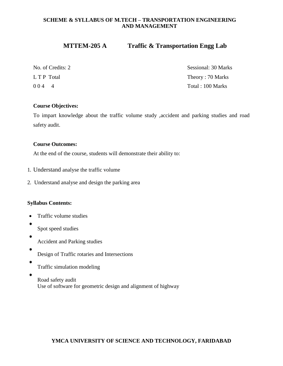# **MTTEM-205 A Traffic & Transportation Engg Lab**

No. of Credits: 2 Sessional: 30 Marks L T P Total Theory : 70 Marks 0 0 4 4 Total : 100 Marks

# **Course Objectives:**

To impart knowledge about the traffic volume study ,accident and parking studies and road safety audit.

# **Course Outcomes:**

At the end of the course, students will demonstrate their ability to:

- 1. Understand analyse the traffic volume
- 2. Understand analyse and design the parking area

# **Syllabus Contents:**

- Traffic volume studies
- - Spot speed studies
- - Accident and Parking studies
	- Design of Traffic rotaries and Intersections
- - Traffic simulation modeling
- 
- Road safety audit Use of software for geometric design and alignment of highway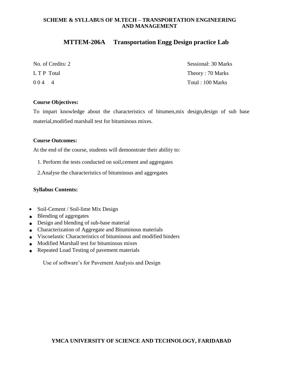# **MTTEM-206A Transportation Engg Design practice Lab**

| No. of Credits: 2 | Sessional: 30 Marks |
|-------------------|---------------------|
| L T P Total       | Theory: 70 Marks    |
| 0044              | Total : 100 Marks   |

### **Course Objectives:**

To impart knowledge about the characteristics of bitumen,mix design,design of sub base material,modified marshall test for bituminous mixes.

### **Course Outcomes:**

At the end of the course, students will demonstrate their ability to:

- 1. Perform the tests conducted on soil,cement and aggregates
- 2.Analyse the characteristics of bituminous and aggregates

# **Syllabus Contents:**

- Soil-Cement / Soil-lime Mix Design
- Blending of aggregates
- Design and blending of sub-base material
- Characterization of Aggregate and Bituminous materials
- Viscoelastic Characteristics of bituminous and modified binders
- Modified Marshall test for bituminous mixes
- Repeated Load Testing of pavement materials

Use of software's for Pavement Analysis and Design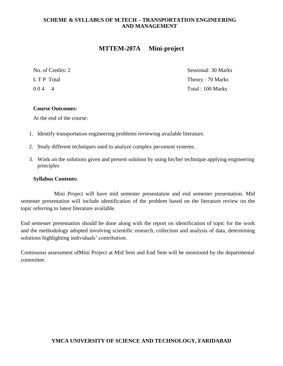# **MTTEM-207A Mini-project**

No. of Credits: 2 Sessional: 30 Marks L T P Total Theory : 70 Marks 0 0 4 4 Total : 100 Marks

# **Course Outcomes:**

At the end of the course:

- 1. Identify transportation engineering problems reviewing available literature.
- 2. Study different techniques used to analyze complex pavement systems.
- 3. Work on the solutions given and present solution by using his/her technique applying engineering principles

# **Syllabus Contents:**

Mini Project will have mid semester presentation and end semester presentation. Mid semester presentation will include identification of the problem based on the literature review on the topic referring to latest literature available.

End semester presentation should be done along with the report on identification of topic for the work and the methodology adopted involving scientific research, collection and analysis of data, determining solutions highlighting individuals' contribution.

Continuous assessment ofMini Project at Mid Sem and End Sem will be monitored by the departmental committee.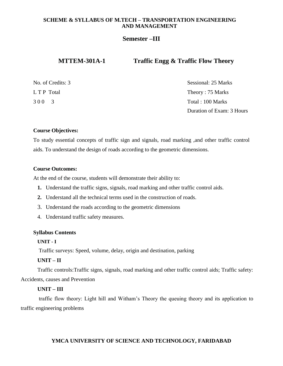# **Semester –III**

# **MTTEM-301A-1 Traffic Engg & Traffic Flow Theory**

| No. of Credits: 3 | Sessional: 25 Marks       |
|-------------------|---------------------------|
| L T P Total       | Theory: 75 Marks          |
| 300 3             | Total : 100 Marks         |
|                   | Duration of Exam: 3 Hours |

### **Course Objectives:**

To study essential concepts of traffic sign and signals, road marking ,and other traffic control aids. To understand the design of roads according to the geometric dimensions.

#### **Course Outcomes:**

At the end of the course, students will demonstrate their ability to:

- **1.** Understand the traffic signs, signals, road marking and other traffic control aids.
- **2.** Understand all the technical terms used in the construction of roads.
- 3. Understand the roads according to the geometric dimensions
- 4. Understand traffic safety measures.

#### **Syllabus Contents**

### **UNIT - I**

Traffic surveys: Speed, volume, delay, origin and destination, parking

# **UNIT – II**

Traffic controls:Traffic signs, signals, road marking and other traffic control aids; Traffic safety: Accidents, causes and Prevention

#### **UNIT – III**

traffic flow theory: Light hill and Witham's Theory the queuing theory and its application to traffic engineering problems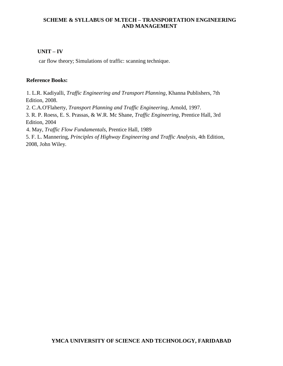# **UNIT – IV**

car flow theory; Simulations of traffic: scanning technique.

### **Reference Books:**

1. L.R. Kadiyalli, *Traffic Engineering and Transport Planning*, Khanna Publishers, 7th Edition, 2008.

2. C.A.O'Flaherty, *Transport Planning and Traffic Engineering*, Arnold, 1997.

3. R. P. Roess, E. S. Prassas, & W.R. Mc Shane, *Traffic Engineering*, Prentice Hall, 3rd Edition, 2004

4. May, *Traffic Flow Fundamentals*, Prentice Hall, 1989

5. F. L. Mannering, *Principles of Highway Engineering and Traffic Analysis*, 4th Edition, 2008, John Wiley.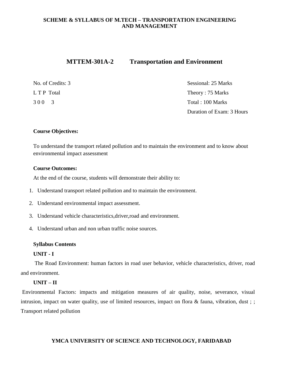# **MTTEM-301A-2 Transportation and Environment**

| No. of Credits: 3 | Sessional: 25 Marks       |
|-------------------|---------------------------|
| L T P Total       | Theory: 75 Marks          |
| 300 3             | Total : 100 Marks         |
|                   | Duration of Exam: 3 Hours |

# **Course Objectives:**

To understand the transport related pollution and to maintain the environment and to know about environmental impact assessment

# **Course Outcomes:**

At the end of the course, students will demonstrate their ability to:

- 1. Understand transport related pollution and to maintain the environment.
- 2. Understand environmental impact assessment.
- 3. Understand vehicle characteristics,driver,road and environment.
- 4. Understand urban and non urban traffic noise sources.

#### **Syllabus Contents**

### **UNIT - I**

 The Road Environment: human factors in road user behavior, vehicle characteristics, driver, road and environment.

# **UNIT – II**

Environmental Factors: impacts and mitigation measures of air quality, noise, severance, visual intrusion, impact on water quality, use of limited resources, impact on flora & fauna, vibration, dust;; Transport related pollution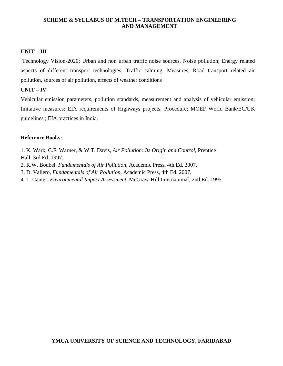# **UNIT – III**

Technology Vision-2020; Urban and non urban traffic noise sources, Noise pollution; Energy related aspects of different transport technologies. Traffic calming, Measures, Road transport related air pollution, sources of air pollution, effects of weather conditions

# **UNIT – IV**

Vehicular emission parameters, pollution standards, measurement and analysis of vehicular emission; Imitative measures; EIA requirements of Highways projects, Procedure; MOEF World Bank/EC/UK guidelines ; EIA practices in India.

### **Reference Books:**

1. K. Wark, C.F. Warner, & W.T. Davis, *Air Pollution: Its Origin and Control*, Prentice Hall. 3rd Ed. 1997.

2. R.W. Boubel, *Fundamentals of Air Pollution*, Academic Press, 4th Ed. 2007.

3. D. Vallero, *Fundamentals of Air Pollution*, Academic Press, 4th Ed. 2007.

4. L. Canter, *Environmental Impact Assessment*, McGraw-Hill International, 2nd Ed. 1995.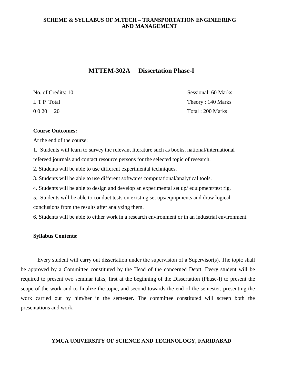# **MTTEM-302A Dissertation Phase-I**

| No. of Credits: 10 | Sessional: 60 Marks |
|--------------------|---------------------|
| L T P Total        | Theory: 140 Marks   |
| 0 0 20<br>- 20     | Total: 200 Marks    |

#### **Course Outcomes:**

At the end of the course:

1. Students will learn to survey the relevant literature such as books, national/international refereed journals and contact resource persons for the selected topic of research.

2. Students will be able to use different experimental techniques.

3. Students will be able to use different software/ computational/analytical tools.

4. Students will be able to design and develop an experimental set up/ equipment/test rig.

5. Students will be able to conduct tests on existing set ups/equipments and draw logical conclusions from the results after analyzing them.

6. Students will be able to either work in a research environment or in an industrial environment.

#### **Syllabus Contents:**

Every student will carry out dissertation under the supervision of a Supervisor(s). The topic shall be approved by a Committee constituted by the Head of the concerned Deptt. Every student will be required to present two seminar talks, first at the beginning of the Dissertation (Phase-I) to present the scope of the work and to finalize the topic, and second towards the end of the semester, presenting the work carried out by him/her in the semester. The committee constituted will screen both the presentations and work.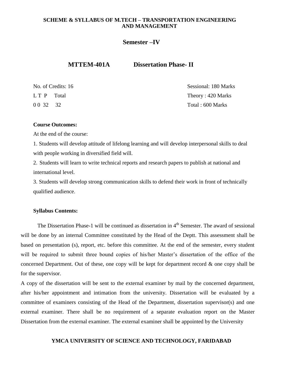# **Semester –IV**

# **MTTEM-401A Dissertation Phase- II**

|            | No. of Credits: 16 |
|------------|--------------------|
| LT P Total |                    |
| 0 0 32 32  |                    |

No. of Credits: 16 Sessional: 180 Marks Theory :  $420$  Marks  $Total: 600 Marks$ 

### **Course Outcomes:**

At the end of the course:

1. Students will develop attitude of lifelong learning and will develop interpersonal skills to deal with people working in diversified field will.

2. Students will learn to write technical reports and research papers to publish at national and international level.

3. Students will develop strong communication skills to defend their work in front of technically qualified audience.

#### **Syllabus Contents:**

The Dissertation Phase-1 will be continued as dissertation in  $4<sup>th</sup>$  Semester. The award of sessional will be done by an internal Committee constituted by the Head of the Deptt. This assessment shall be based on presentation (s), report, etc. before this committee. At the end of the semester, every student will be required to submit three bound copies of his/her Master's dissertation of the office of the concerned Department. Out of these, one copy will be kept for department record  $\&$  one copy shall be for the supervisor.

A copy of the dissertation will be sent to the external examiner by mail by the concerned department, after his/her appointment and intimation from the university. Dissertation will be evaluated by a committee of examiners consisting of the Head of the Department, dissertation supervisor(s) and one external examiner. There shall be no requirement of a separate evaluation report on the Master Dissertation from the external examiner. The external examiner shall be appointed by the University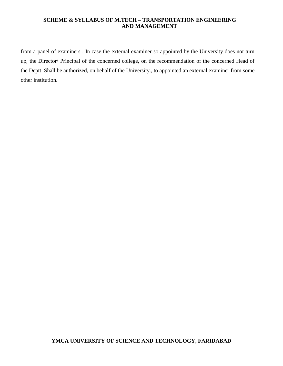from a panel of examiners . In case the external examiner so appointed by the University does not turn up, the Director/ Principal of the concerned college, on the recommendation of the concerned Head of the Deptt. Shall be authorized, on behalf of the University., to appointed an external examiner from some other institution.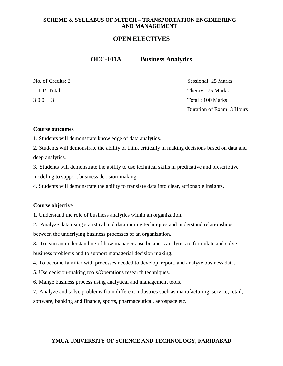# **OPEN ELECTIVES**

**OEC-101A Business Analytics**

| No. of Credits: 3 | Sessional: 25 Marks       |
|-------------------|---------------------------|
| L T P Total       | Theory: 75 Marks          |
| 300 3             | Total : 100 Marks         |
|                   | Duration of Exam: 3 Hours |

#### **Course outcomes**

1. Students will demonstrate knowledge of data analytics.

2. Students will demonstrate the ability of think critically in making decisions based on data and deep analytics.

3. Students will demonstrate the ability to use technical skills in predicative and prescriptive modeling to support business decision-making.

4. Students will demonstrate the ability to translate data into clear, actionable insights.

### **Course objective**

1. Understand the role of business analytics within an organization.

2. Analyze data using statistical and data mining techniques and understand relationships between the underlying business processes of an organization.

3. To gain an understanding of how managers use business analytics to formulate and solve business problems and to support managerial decision making.

4. To become familiar with processes needed to develop, report, and analyze business data.

5. Use decision-making tools/Operations research techniques.

6. Mange business process using analytical and management tools.

7. Analyze and solve problems from different industries such as manufacturing, service, retail, software, banking and finance, sports, pharmaceutical, aerospace etc.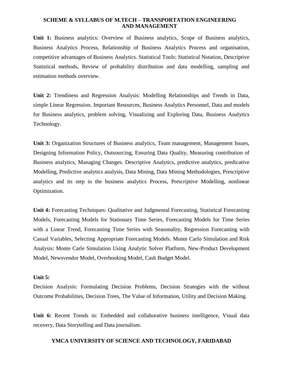**Unit 1:** Business analytics: Overview of Business analytics, Scope of Business analytics, Business Analytics Process, Relationship of Business Analytics Process and organisation, competitive advantages of Business Analytics. Statistical Tools: Statistical Notation, Descriptive Statistical methods, Review of probability distribution and data modelling, sampling and estimation methods overview.

**Unit 2:** Trendiness and Regression Analysis: Modelling Relationships and Trends in Data, simple Linear Regression. Important Resources, Business Analytics Personnel, Data and models for Business analytics, problem solving, Visualizing and Exploring Data, Business Analytics Technology.

**Unit 3:** Organization Structures of Business analytics, Team management, Management Issues, Designing Information Policy, Outsourcing, Ensuring Data Quality, Measuring contribution of Business analytics, Managing Changes. Descriptive Analytics, predictive analytics, predicative Modelling, Predictive analytics analysis, Data Mining, Data Mining Methodologies, Prescriptive analytics and its step in the business analytics Process, Prescriptive Modelling, nonlinear Optimization.

**Unit 4:** Forecasting Techniques: Qualitative and Judgmental Forecasting, Statistical Forecasting Models, Forecasting Models for Stationary Time Series, Forecasting Models for Time Series with a Linear Trend, Forecasting Time Series with Seasonality, Regression Forecasting with Casual Variables, Selecting Appropriate Forecasting Models. Monte Carlo Simulation and Risk Analysis: Monte Carle Simulation Using Analytic Solver Platform, New-Product Development Model, Newsvendor Model, Overbooking Model, Cash Budget Model.

#### **Unit 5:**

Decision Analysis: Formulating Decision Problems, Decision Strategies with the without Outcome Probabilities, Decision Trees, The Value of Information, Utility and Decision Making.

**Unit 6:** Recent Trends in: Embedded and collaborative business intelligence, Visual data recovery, Data Storytelling and Data journalism.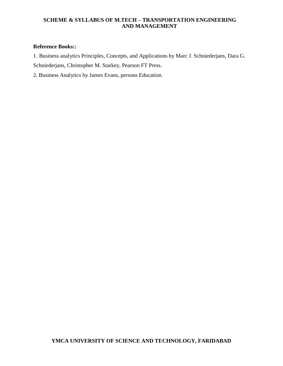# **Reference Books::**

1. Business analytics Principles, Concepts, and Applications by Marc J. Schniederjans, Dara G. Schniederjans, Christopher M. Starkey, Pearson FT Press.

2. Business Analytics by James Evans, persons Education.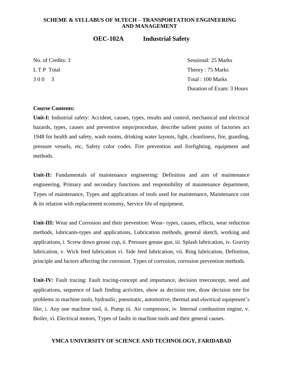# **OEC-102A Industrial Safety**

No. of Credits: 3 Sessional: 25 Marks L T P Total Theory : 75 Marks 3 0 0 3 Total : 100 Marks Duration of Exam: 3 Hours

#### **Course Contents:**

**Unit-I:** Industrial safety: Accident, causes, types, results and control, mechanical and electrical hazards, types, causes and preventive steps/procedure, describe salient points of factories act 1948 for health and safety, wash rooms, drinking water layouts, light, cleanliness, fire, guarding, pressure vessels, etc, Safety color codes. Fire prevention and firefighting, equipment and methods.

Unit-II: Fundamentals of maintenance engineering: Definition and aim of maintenance engineering, Primary and secondary functions and responsibility of maintenance department, Types of maintenance, Types and applications of tools used for maintenance, Maintenance cost & its relation with replacement economy, Service life of equipment.

**Unit-III:** Wear and Corrosion and their prevention: Wear- types, causes, effects, wear reduction methods, lubricants-types and applications, Lubrication methods, general sketch, working and applications, i. Screw down grease cup, ii. Pressure grease gun, iii. Splash lubrication, iv. Gravity lubrication, v. Wick feed lubrication vi. Side feed lubrication, vii. Ring lubrication, Definition, principle and factors affecting the corrosion. Types of corrosion, corrosion prevention methods.

**Unit-IV:** Fault tracing: Fault tracing-concept and importance, decision treeconcept, need and applications, sequence of fault finding activities, show as decision tree, draw decision tree for problems in machine tools, hydraulic, pneumatic, automotive, thermal and electrical equipment's like, i. Any one machine tool, ii. Pump iii. Air compressor, iv. Internal combustion engine, v. Boiler, vi. Electrical motors, Types of faults in machine tools and their general causes.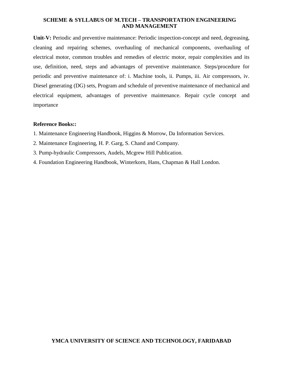Unit-V: Periodic and preventive maintenance: Periodic inspection-concept and need, degreasing, cleaning and repairing schemes, overhauling of mechanical components, overhauling of electrical motor, common troubles and remedies of electric motor, repair complexities and its use, definition, need, steps and advantages of preventive maintenance. Steps/procedure for periodic and preventive maintenance of: i. Machine tools, ii. Pumps, iii. Air compressors, iv. Diesel generating (DG) sets, Program and schedule of preventive maintenance of mechanical and electrical equipment, advantages of preventive maintenance. Repair cycle concept and importance

# **Reference Books::**

- 1. Maintenance Engineering Handbook, Higgins & Morrow, Da Information Services.
- 2. Maintenance Engineering, H. P. Garg, S. Chand and Company.
- 3. Pump-hydraulic Compressors, Audels, Mcgrew Hill Publication.
- 4. Foundation Engineering Handbook, Winterkorn, Hans, Chapman & Hall London.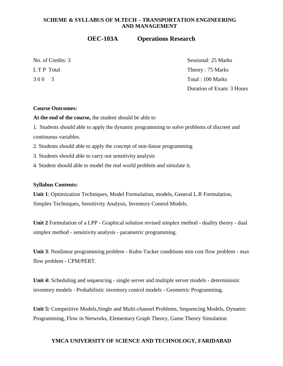# **OEC-103A Operations Research**

|           | No. of Credits: 3 |
|-----------|-------------------|
| LTP Total |                   |
| 300       | $\mathcal{R}$     |

Sessional: 25 Marks Theory :  $75$  Marks Total : 100 Marks Duration of Exam: 3 Hours

# **Course Outcomes:**

**At the end of the course,** the student should be able to

1. Students should able to apply the dynamic programming to solve problems of discreet and continuous variables.

2. Students should able to apply the concept of non-linear programming

3. Students should able to carry out sensitivity analysis

4. Student should able to model the real world problem and simulate it.

#### **Syllabus Contents:**

**Unit 1**: Optimization Techniques, Model Formulation, models, General L.R Formulation, Simplex Techniques, Sensitivity Analysis, Inventory Control Models.

**Unit 2** Formulation of a LPP - Graphical solution revised simplex method - duality theory - dual simplex method - sensitivity analysis - parametric programming.

**Unit 3**: Nonlinear programming problem - Kuhn-Tucker conditions min cost flow problem - max flow problem - CPM/PERT.

**Unit 4:** Scheduling and sequencing - single server and multiple server models - deterministic inventory models - Probabilistic inventory control models - Geometric Programming.

**Unit 5:** Competitive Models,Single and Multi-channel Problems, Sequencing Models, Dynamic Programming, Flow in Networks, Elementary Graph Theory, Game Theory Simulation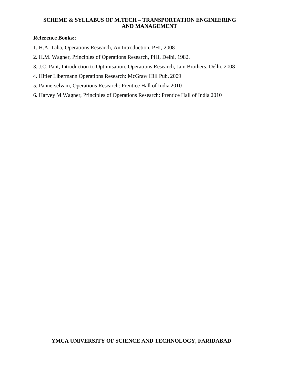# **Reference Books:**:

- 1. H.A. Taha, Operations Research, An Introduction, PHI, 2008
- 2. H.M. Wagner, Principles of Operations Research, PHI, Delhi, 1982.
- 3. J.C. Pant, Introduction to Optimisation: Operations Research, Jain Brothers, Delhi, 2008
- 4. Hitler Libermann Operations Research: McGraw Hill Pub. 2009
- 5. Pannerselvam, Operations Research: Prentice Hall of India 2010
- 6. Harvey M Wagner, Principles of Operations Research: Prentice Hall of India 2010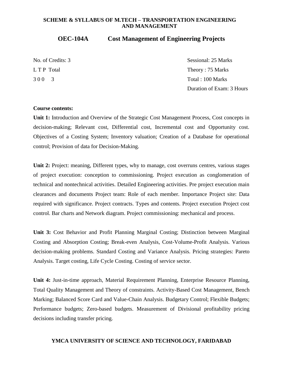# **OEC-104A Cost Management of Engineering Projects**

| No. of Credits: 3 | Sessional: 25 Marks       |
|-------------------|---------------------------|
| L T P Total       | Theory: 75 Marks          |
| 300 3             | Total : 100 Marks         |
|                   | Duration of Exam: 3 Hours |

#### **Course contents:**

**Unit 1:** Introduction and Overview of the Strategic Cost Management Process, Cost concepts in decision-making; Relevant cost, Differential cost, Incremental cost and Opportunity cost. Objectives of a Costing System; Inventory valuation; Creation of a Database for operational control; Provision of data for Decision-Making.

**Unit 2:** Project: meaning, Different types, why to manage, cost overruns centres, various stages of project execution: conception to commissioning. Project execution as conglomeration of technical and nontechnical activities. Detailed Engineering activities. Pre project execution main clearances and documents Project team: Role of each member. Importance Project site: Data required with significance. Project contracts. Types and contents. Project execution Project cost control. Bar charts and Network diagram. Project commissioning: mechanical and process.

**Unit 3:** Cost Behavior and Profit Planning Marginal Costing; Distinction between Marginal Costing and Absorption Costing; Break-even Analysis, Cost-Volume-Profit Analysis. Various decision-making problems. Standard Costing and Variance Analysis. Pricing strategies: Pareto Analysis. Target costing, Life Cycle Costing. Costing of service sector.

**Unit 4:** Just-in-time approach, Material Requirement Planning, Enterprise Resource Planning, Total Quality Management and Theory of constraints. Activity-Based Cost Management, Bench Marking; Balanced Score Card and Value-Chain Analysis. Budgetary Control; Flexible Budgets; Performance budgets; Zero-based budgets. Measurement of Divisional profitability pricing decisions including transfer pricing.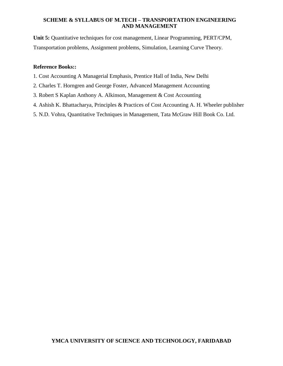**Unit 5:** Quantitative techniques for cost management, Linear Programming, PERT/CPM, Transportation problems, Assignment problems, Simulation, Learning Curve Theory.

# **Reference Books::**

- 1. Cost Accounting A Managerial Emphasis, Prentice Hall of India, New Delhi
- 2. Charles T. Horngren and George Foster, Advanced Management Accounting
- 3. Robert S Kaplan Anthony A. Alkinson, Management & Cost Accounting
- 4. Ashish K. Bhattacharya, Principles & Practices of Cost Accounting A. H. Wheeler publisher
- 5. N.D. Vohra, Quantitative Techniques in Management, Tata McGraw Hill Book Co. Ltd.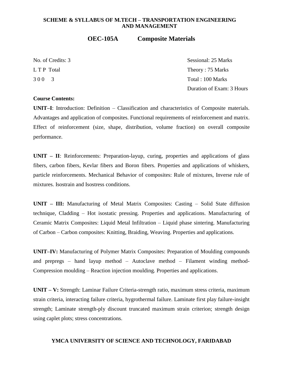# **OEC-105A Composite Materials**

No. of Credits: 3 Sessional: 25 Marks L T P Total Theory : 75 Marks 3 0 0 3 Total : 100 Marks Duration of Exam: 3 Hours

#### **Course Contents:**

**UNIT–I**: Introduction: Definition – Classification and characteristics of Composite materials. Advantages and application of composites. Functional requirements of reinforcement and matrix. Effect of reinforcement (size, shape, distribution, volume fraction) on overall composite performance.

**UNIT – II**: Reinforcements: Preparation-layup, curing, properties and applications of glass fibers, carbon fibers, Kevlar fibers and Boron fibers. Properties and applications of whiskers, particle reinforcements. Mechanical Behavior of composites: Rule of mixtures, Inverse rule of mixtures. Isostrain and Isostress conditions.

**UNIT – III:** Manufacturing of Metal Matrix Composites: Casting – Solid State diffusion technique, Cladding – Hot isostatic pressing. Properties and applications. Manufacturing of Ceramic Matrix Composites: Liquid Metal Infiltration – Liquid phase sintering. Manufacturing of Carbon – Carbon composites: Knitting, Braiding, Weaving. Properties and applications.

**UNIT–IV:** Manufacturing of Polymer Matrix Composites: Preparation of Moulding compounds and prepregs – hand layup method – Autoclave method – Filament winding method-Compression moulding – Reaction injection moulding. Properties and applications.

**UNIT – V:** Strength: Laminar Failure Criteria-strength ratio, maximum stress criteria, maximum strain criteria, interacting failure criteria, hygrothermal failure. Laminate first play failure-insight strength; Laminate strength-ply discount truncated maximum strain criterion; strength design using caplet plots; stress concentrations.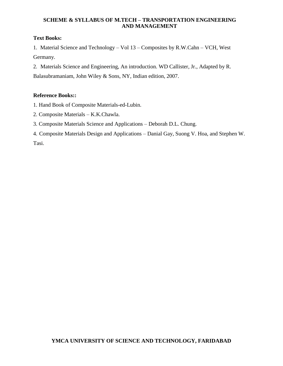# **Text Books:**

1. Material Science and Technology – Vol 13 – Composites by R.W.Cahn – VCH, West Germany.

2. Materials Science and Engineering, An introduction. WD Callister, Jr., Adapted by R.

Balasubramaniam, John Wiley & Sons, NY, Indian edition, 2007.

# **Reference Books::**

1. Hand Book of Composite Materials-ed-Lubin.

- 2. Composite Materials K.K.Chawla.
- 3. Composite Materials Science and Applications Deborah D.L. Chung.
- 4. Composite Materials Design and Applications Danial Gay, Suong V. Hoa, and Stephen W. Tasi.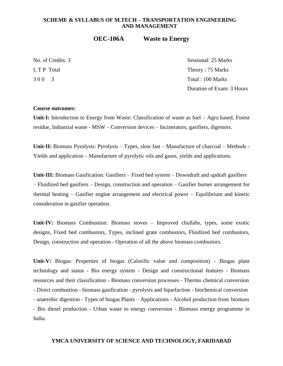# **OEC-106A Waste to Energy**

No. of Credits: 3 Sessional: 25 Marks L T P Total Theory : 75 Marks 3 0 0 3 Total : 100 Marks Duration of Exam: 3 Hours

#### **Course outcomes:**

**Unit-I:** Introduction to Energy from Waste: Classification of waste as fuel – Agro based, Forest residue, Industrial waste - MSW – Conversion devices – Incinerators, gasifiers, digestors.

Unit-II: Biomass Pyrolysis: Pyrolysis – Types, slow fast – Manufacture of charcoal – Methods -Yields and application – Manufacture of pyrolytic oils and gases, yields and applications.

Unit-III: Biomass Gasification: Gasifiers – Fixed bed system – Downdraft and updraft gasifiers – Fluidized bed gasifiers – Design, construction and operation – Gasifier burner arrangement for thermal heating – Gasifier engine arrangement and electrical power – Equilibrium and kinetic consideration in gasifier operation.

**Unit-IV:** Biomass Combustion: Biomass stoves – Improved chullahs, types, some exotic designs, Fixed bed combustors, Types, inclined grate combustors, Fluidized bed combustors, Design, construction and operation - Operation of all the above biomass combustors.

**Unit-V:** Biogas: Properties of biogas (Calorific value and composition) - Biogas plant technology and status - Bio energy system - Design and constructional features - Biomass resources and their classification - Biomass conversion processes - Thermo chemical conversion - Direct combustion - biomass gasification - pyrolysis and liquefaction - biochemical conversion - anaerobic digestion - Types of biogas Plants – Applications - Alcohol production from biomass - Bio diesel production - Urban waste to energy conversion - Biomass energy programme in India.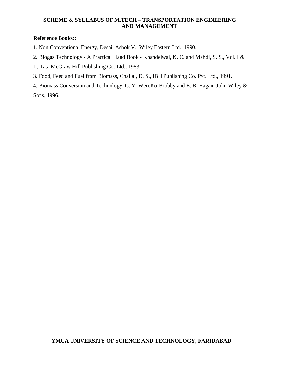# **Reference Books::**

- 1. Non Conventional Energy, Desai, Ashok V., Wiley Eastern Ltd., 1990.
- 2. Biogas Technology A Practical Hand Book Khandelwal, K. C. and Mahdi, S. S., Vol. I &
- II, Tata McGraw Hill Publishing Co. Ltd., 1983.
- 3. Food, Feed and Fuel from Biomass, Challal, D. S., IBH Publishing Co. Pvt. Ltd., 1991.

4. Biomass Conversion and Technology, C. Y. WereKo-Brobby and E. B. Hagan, John Wiley & Sons, 1996.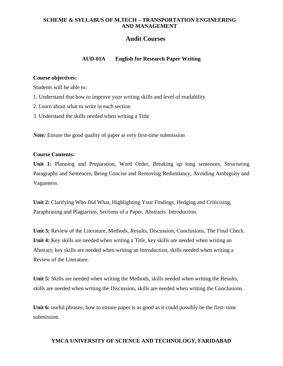# **Audit Courses**

# **AUD-01A English for Research Paper Writing**

### **Course objectives:**

Students will be able to:

- 1. Understand that how to improve your writing skills and level of readability
- 2. Learn about what to write in each section
- 3. Understand the skills needed when writing a Title

*Note:* Ensure the good quality of paper at very first-time submission

# **Course Contents:**

**Unit 1:** Planning and Preparation, Word Order, Breaking up long sentences, Structuring Paragraphs and Sentences, Being Concise and Removing Redundancy, Avoiding Ambiguity and Vagueness.

**Unit 2:** Clarifying Who Did What, Highlighting Your Findings, Hedging and Criticising, Paraphrasing and Plagiarism, Sections of a Paper, Abstracts. Introduction.

**Unit 3:** Review of the Literature, Methods, Results, Discussion, Conclusions, The Final Check. **Unit 4:** Key skills are needed when writing a Title, key skills are needed when writing an Abstract, key skills are needed when writing an Introduction, skills needed when writing a Review of the Literature.

**Unit 5:** Skills are needed when writing the Methods, skills needed when writing the Results, skills are needed when writing the Discussion, skills are needed when writing the Conclusions.

Unit 6: useful phrases, how to ensure paper is as good as it could possibly be the first- time submission.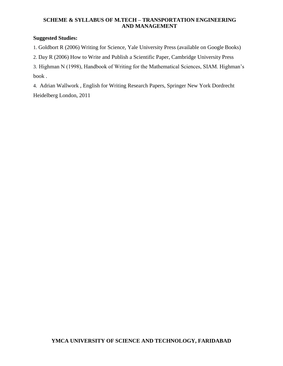# **Suggested Studies:**

1. Goldbort R (2006) Writing for Science, Yale University Press (available on Google Books)

2. Day R (2006) How to Write and Publish a Scientific Paper, Cambridge University Press

3. Highman N (1998), Handbook of Writing for the Mathematical Sciences, SIAM. Highman's book .

4. Adrian Wallwork , English for Writing Research Papers, Springer New York Dordrecht Heidelberg London, 2011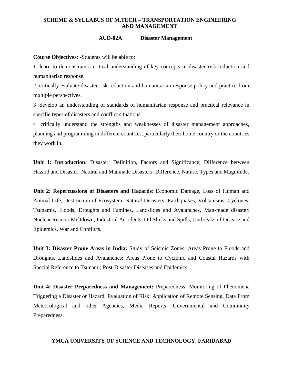#### **AUD-02A Disaster Management**

**Course Objectives:** -Students will be able to:

1. learn to demonstrate a critical understanding of key concepts in disaster risk reduction and humanitarian response.

2. critically evaluate disaster risk reduction and humanitarian response policy and practice from multiple perspectives.

3. develop an understanding of standards of humanitarian response and practical relevance in specific types of disasters and conflict situations.

4. critically understand the strengths and weaknesses of disaster management approaches, planning and programming in different countries, particularly their home country or the countries they work in.

**Unit 1: Introduction:** Disaster: Definition, Factors and Significance; Difference between Hazard and Disaster; Natural and Manmade Disasters: Difference, Nature, Types and Magnitude.

**Unit 2: Repercussions of Disasters and Hazards**: Economic Damage, Loss of Human and Animal Life, Destruction of Ecosystem. Natural Disasters: Earthquakes, Volcanisms, Cyclones, Tsunamis, Floods, Droughts and Famines, Landslides and Avalanches, Man-made disaster: Nuclear Reactor Meltdown, Industrial Accidents, Oil Slicks and Spills, Outbreaks of Disease and Epidemics, War and Conflicts.

**Unit 3: Disaster Prone Areas in India:** Study of Seismic Zones; Areas Prone to Floods and Droughts, Landslides and Avalanches; Areas Prone to Cyclonic and Coastal Hazards with Special Reference to Tsunami; Post-Disaster Diseases and Epidemics.

**Unit 4: Disaster Preparedness and Management:** Preparedness: Monitoring of Phenomena Triggering a Disaster or Hazard; Evaluation of Risk: Application of Remote Sensing, Data From Meteorological and other Agencies, Media Reports: Governmental and Community Preparedness.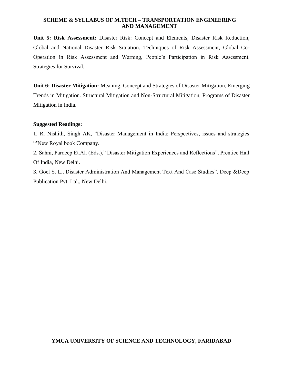**Unit 5: Risk Assessment:** Disaster Risk: Concept and Elements, Disaster Risk Reduction, Global and National Disaster Risk Situation. Techniques of Risk Assessment, Global Co-Operation in Risk Assessment and Warning, People's Participation in Risk Assessment. Strategies for Survival.

**Unit 6: Disaster Mitigation:** Meaning, Concept and Strategies of Disaster Mitigation, Emerging Trends in Mitigation. Structural Mitigation and Non-Structural Mitigation, Programs of Disaster Mitigation in India.

# **Suggested Readings:**

1. R. Nishith, Singh AK, "Disaster Management in India: Perspectives, issues and strategies "New Royal book Company.

2. Sahni, Pardeep Et.Al. (Eds.)," Disaster Mitigation Experiences and Reflections", Prentice Hall Of India, New Delhi.

3. Goel S. L., Disaster Administration And Management Text And Case Studies", Deep &Deep Publication Pvt. Ltd., New Delhi.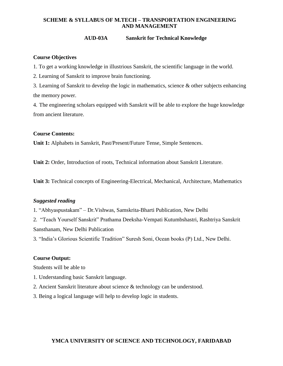### **AUD-03A Sanskrit for Technical Knowledge**

### **Course Objectives**

1. To get a working knowledge in illustrious Sanskrit, the scientific language in the world.

2. Learning of Sanskrit to improve brain functioning.

3. Learning of Sanskrit to develop the logic in mathematics, science & other subjects enhancing the memory power.

4. The engineering scholars equipped with Sanskrit will be able to explore the huge knowledge from ancient literature.

### **Course Contents:**

**Unit 1:** Alphabets in Sanskrit, Past/Present/Future Tense, Simple Sentences.

**Unit 2:** Order, Introduction of roots, Technical information about Sanskrit Literature.

**Unit 3:** Technical concepts of Engineering-Electrical, Mechanical, Architecture, Mathematics

### *Suggested reading*

1. "Abhyaspustakam" – Dr.Vishwas, Samskrita-Bharti Publication, New Delhi

2. "Teach Yourself Sanskrit" Prathama Deeksha-Vempati Kutumbshastri, Rashtriya Sanskrit Sansthanam, New Delhi Publication

3. "India's Glorious Scientific Tradition" Suresh Soni, Ocean books (P) Ltd., New Delhi.

#### **Course Output:**

Students will be able to

- 1. Understanding basic Sanskrit language.
- 2. Ancient Sanskrit literature about science & technology can be understood.
- 3. Being a logical language will help to develop logic in students.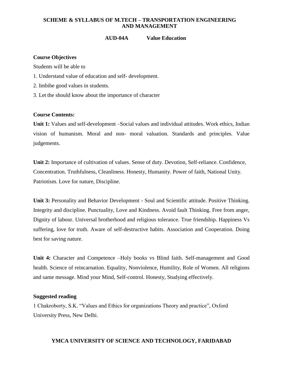# **AUD-04A Value Education**

### **Course Objectives**

Students will be able to

- 1. Understand value of education and self- development.
- 2. Imbibe good values in students.
- 3. Let the should know about the importance of character

### **Course Contents:**

**Unit 1:** Values and self-development –Social values and individual attitudes. Work ethics, Indian vision of humanism. Moral and non- moral valuation. Standards and principles. Value judgements.

**Unit 2:** Importance of cultivation of values. Sense of duty. Devotion, Self-reliance. Confidence, Concentration. Truthfulness, Cleanliness. Honesty, Humanity. Power of faith, National Unity. Patriotism. Love for nature, Discipline.

**Unit 3:** Personality and Behavior Development - Soul and Scientific attitude. Positive Thinking. Integrity and discipline. Punctuality, Love and Kindness. Avoid fault Thinking. Free from anger, Dignity of labour. Universal brotherhood and religious tolerance. True friendship. Happiness Vs suffering, love for truth. Aware of self-destructive habits. Association and Cooperation. Doing best for saving nature.

**Unit 4:** Character and Competence –Holy books vs Blind faith. Self-management and Good health. Science of reincarnation. Equality, Nonviolence, Humility, Role of Women. All religions and same message. Mind your Mind, Self-control. Honesty, Studying effectively.

#### **Suggested reading**

1 Chakroborty, S.K. "Values and Ethics for organizations Theory and practice", Oxford University Press, New Delhi.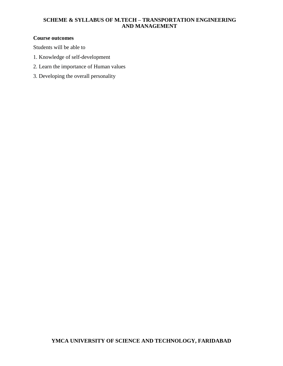# **Course outcomes**

Students will be able to

- 1. Knowledge of self-development
- 2. Learn the importance of Human values
- 3. Developing the overall personality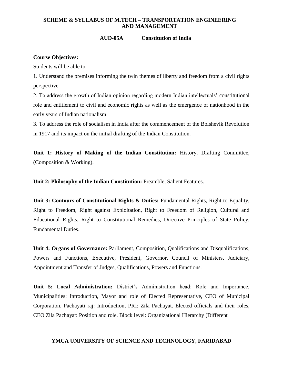#### **AUD-05A Constitution of India**

#### **Course Objectives:**

Students will be able to:

1. Understand the premises informing the twin themes of liberty and freedom from a civil rights perspective.

2. To address the growth of Indian opinion regarding modern Indian intellectuals' constitutional role and entitlement to civil and economic rights as well as the emergence of nationhood in the early years of Indian nationalism.

3. To address the role of socialism in India after the commencement of the Bolshevik Revolution in 1917 and its impact on the initial drafting of the Indian Constitution.

**Unit 1: History of Making of the Indian Constitution:** History, Drafting Committee, (Composition & Working).

**Unit 2: Philosophy of the Indian Constitution:** Preamble, Salient Features.

**Unit 3: Contours of Constitutional Rights & Duties:** Fundamental Rights, Right to Equality, Right to Freedom, Right against Exploitation, Right to Freedom of Religion, Cultural and Educational Rights, Right to Constitutional Remedies, Directive Principles of State Policy, Fundamental Duties.

**Unit 4: Organs of Governance:** Parliament, Composition, Qualifications and Disqualifications, Powers and Functions, Executive, President, Governor, Council of Ministers, Judiciary, Appointment and Transfer of Judges, Qualifications, Powers and Functions.

**Unit 5: Local Administration:** District's Administration head: Role and Importance, Municipalities: Introduction, Mayor and role of Elected Representative, CEO of Municipal Corporation. Pachayati raj: Introduction, PRI: Zila Pachayat. Elected officials and their roles, CEO Zila Pachayat: Position and role. Block level: Organizational Hierarchy (Different

#### **YMCA UNIVERSITY OF SCIENCE AND TECHNOLOGY, FARIDABAD**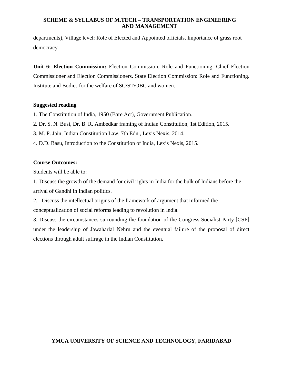departments), Village level: Role of Elected and Appointed officials, Importance of grass root democracy

**Unit 6: Election Commission:** Election Commission: Role and Functioning. Chief Election Commissioner and Election Commissioners. State Election Commission: Role and Functioning. Institute and Bodies for the welfare of SC/ST/OBC and women.

#### **Suggested reading**

- 1. The Constitution of India, 1950 (Bare Act), Government Publication.
- 2. Dr. S. N. Busi, Dr. B. R. Ambedkar framing of Indian Constitution, 1st Edition, 2015.
- 3. M. P. Jain, Indian Constitution Law, 7th Edn., Lexis Nexis, 2014.
- 4. D.D. Basu, Introduction to the Constitution of India, Lexis Nexis, 2015.

#### **Course Outcomes:**

Students will be able to:

1. Discuss the growth of the demand for civil rights in India for the bulk of Indians before the arrival of Gandhi in Indian politics.

2. Discuss the intellectual origins of the framework of argument that informed the conceptualization of social reforms leading to revolution in India.

3. Discuss the circumstances surrounding the foundation of the Congress Socialist Party [CSP] under the leadership of Jawaharlal Nehru and the eventual failure of the proposal of direct elections through adult suffrage in the Indian Constitution.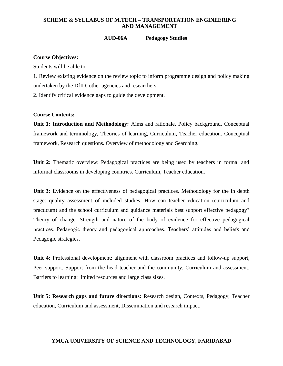#### **AUD-06A Pedagogy Studies**

#### **Course Objectives:**

Students will be able to:

1. Review existing evidence on the review topic to inform programme design and policy making undertaken by the DfID, other agencies and researchers.

2. Identify critical evidence gaps to guide the development.

#### **Course Contents:**

**Unit 1: Introduction and Methodology:** Aims and rationale, Policy background, Conceptual framework and terminology, Theories of learning, Curriculum, Teacher education. Conceptual framework, Research questions**.** Overview of methodology and Searching.

Unit 2: Thematic overview: Pedagogical practices are being used by teachers in formal and informal classrooms in developing countries. Curriculum, Teacher education.

**Unit 3:** Evidence on the effectiveness of pedagogical practices. Methodology for the in depth stage: quality assessment of included studies. How can teacher education (curriculum and practicum) and the school curriculum and guidance materials best support effective pedagogy? Theory of change. Strength and nature of the body of evidence for effective pedagogical practices. Pedagogic theory and pedagogical approaches. Teachers' attitudes and beliefs and Pedagogic strategies.

**Unit 4:** Professional development: alignment with classroom practices and follow-up support, Peer support. Support from the head teacher and the community. Curriculum and assessment. Barriers to learning: limited resources and large class sizes.

**Unit 5: Research gaps and future directions:** Research design, Contexts, Pedagogy, Teacher education, Curriculum and assessment, Dissemination and research impact.

#### **YMCA UNIVERSITY OF SCIENCE AND TECHNOLOGY, FARIDABAD**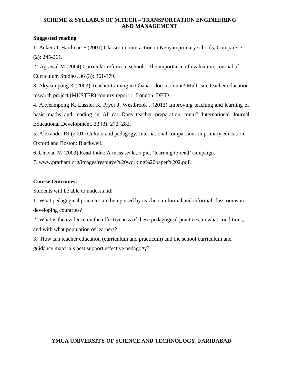# **Suggested reading**

1. Ackers J, Hardman F (2001) Classroom interaction in Kenyan primary schools, Compare, 31 (2): 245-261.

2. Agrawal M (2004) Curricular reform in schools: The importance of evaluation, Journal of Curriculum Studies, 36 (3): 361-379.

3. Akyeampong K (2003) Teacher training in Ghana - does it count? Multi-site teacher education research project (MUSTER) country report 1. London: DFID.

4. Akyeampong K, Lussier K, Pryor J, Westbrook J (2013) Improving teaching and learning of basic maths and reading in Africa: Does teacher preparation count? International Journal Educational Development, 33 (3): 272–282.

5. Alexander RJ (2001) Culture and pedagogy: International comparisons in primary education. Oxford and Boston: Blackwell.

6. Chavan M (2003) Read India: A mass scale, rapid, 'learning to read' campaign.

7. [www.pratham.org/images/resource%20working%20paper%202.pdf.](http://www.pratham.org/images/resource%20working%20paper%202.pdf)

# **Course Outcomes:**

Students will be able to understand:

1. What pedagogical practices are being used by teachers in formal and informal classrooms in developing countries?

2. What is the evidence on the effectiveness of these pedagogical practices, in what conditions, and with what population of learners?

3. How can teacher education (curriculum and practicum) and the school curriculum and guidance materials best support effective pedagogy?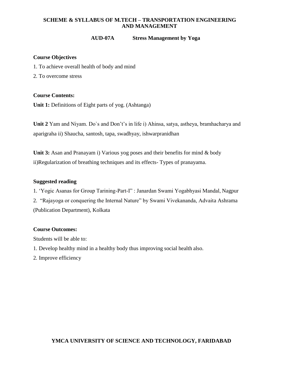## **AUD-07A Stress Management by Yoga**

## **Course Objectives**

- 1. To achieve overall health of body and mind
- 2. To overcome stress

## **Course Contents:**

**Unit 1:** Definitions of Eight parts of yog. (Ashtanga)

**Unit 2** Yam and Niyam. Do`s and Don't's in life i) Ahinsa, satya, astheya, bramhacharya and aparigraha ii) Shaucha, santosh, tapa, swadhyay, ishwarpranidhan

**Unit 3:** Asan and Pranayam i) Various yog poses and their benefits for mind & body ii)Regularization of breathing techniques and its effects- Types of pranayama.

#### **Suggested reading**

1. 'Yogic Asanas for Group Tarining-Part-I" : Janardan Swami Yogabhyasi Mandal, Nagpur 2. "Rajayoga or conquering the Internal Nature" by Swami Vivekananda, Advaita Ashrama (Publication Department), Kolkata

# **Course Outcomes:**

Students will be able to:

- 1. Develop healthy mind in a healthy body thus improving social health also.
- 2. Improve efficiency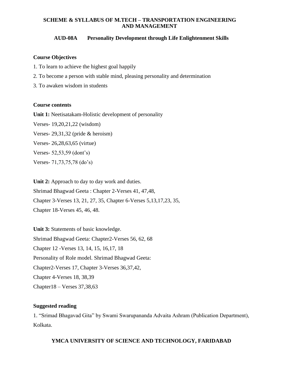# **AUD-08A Personality Development through Life Enlightenment Skills**

### **Course Objectives**

- 1. To learn to achieve the highest goal happily
- 2. To become a person with stable mind, pleasing personality and determination
- 3. To awaken wisdom in students

#### **Course contents**

**Unit 1:** Neetisatakam-Holistic development of personality

Verses- 19,20,21,22 (wisdom)

Verses- 29,31,32 (pride & heroism)

Verses- 26,28,63,65 (virtue)

Verses- 52,53,59 (dont's)

Verses- 71,73,75,78 (do's)

Unit 2: Approach to day to day work and duties. Shrimad Bhagwad Geeta : Chapter 2-Verses 41, 47,48, Chapter 3-Verses 13, 21, 27, 35, Chapter 6-Verses 5,13,17,23, 35, Chapter 18-Verses 45, 46, 48.

**Unit 3:** Statements of basic knowledge. Shrimad Bhagwad Geeta: Chapter2-Verses 56, 62, 68 Chapter 12 -Verses 13, 14, 15, 16,17, 18 Personality of Role model. Shrimad Bhagwad Geeta: Chapter2-Verses 17, Chapter 3-Verses 36,37,42, Chapter 4-Verses 18, 38,39 Chapter18 – Verses 37,38,63

# **Suggested reading**

1. "Srimad Bhagavad Gita" by Swami Swarupananda Advaita Ashram (Publication Department), Kolkata.

# **YMCA UNIVERSITY OF SCIENCE AND TECHNOLOGY, FARIDABAD**